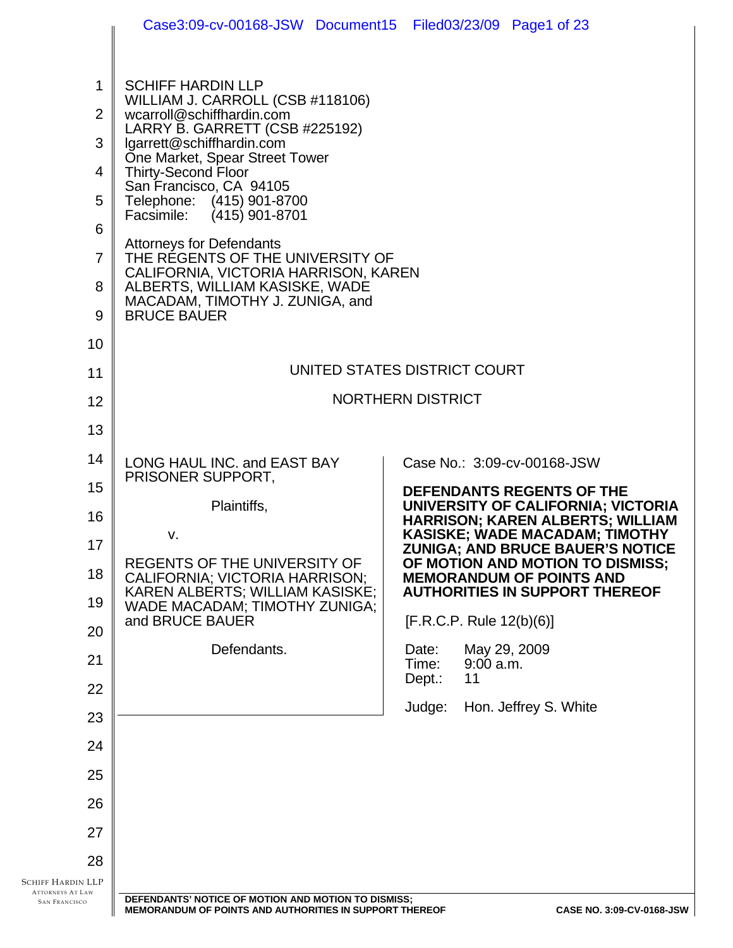|                                                                             | Case3:09-cv-00168-JSW Document15 Filed03/23/09 Page1 of 23                                                                                                                                                                                                                                                                                                                                                                                                                                                                   |                              |                                                                                  |
|-----------------------------------------------------------------------------|------------------------------------------------------------------------------------------------------------------------------------------------------------------------------------------------------------------------------------------------------------------------------------------------------------------------------------------------------------------------------------------------------------------------------------------------------------------------------------------------------------------------------|------------------------------|----------------------------------------------------------------------------------|
| 1<br>$\overline{2}$<br>3<br>4<br>5<br>6<br>$\overline{7}$<br>8<br>9         | <b>SCHIFF HARDIN LLP</b><br>WILLIAM J. CARROLL (CSB #118106)<br>wcarroll@schiffhardin.com<br>LARRY B. GARRETT (CSB #225192)<br>lgarrett@schiffhardin.com<br>One Market, Spear Street Tower<br><b>Thirty-Second Floor</b><br>San Francisco, CA 94105<br>Telephone: (415) 901-8700<br>$(415)$ 901-8701<br>Facsimile:<br><b>Attorneys for Defendants</b><br>THE RÉGENTS OF THE UNIVERSITY OF<br>CALIFORNIA, VICTORIA HARRISON, KAREN<br>ALBERTS, WILLIAM KASISKE, WADE<br>MACADAM, TIMOTHY J. ZUNIGA, and<br><b>BRUCE BAUER</b> |                              |                                                                                  |
| 10                                                                          |                                                                                                                                                                                                                                                                                                                                                                                                                                                                                                                              | UNITED STATES DISTRICT COURT |                                                                                  |
| 11                                                                          |                                                                                                                                                                                                                                                                                                                                                                                                                                                                                                                              | <b>NORTHERN DISTRICT</b>     |                                                                                  |
| 12<br>13                                                                    |                                                                                                                                                                                                                                                                                                                                                                                                                                                                                                                              |                              |                                                                                  |
|                                                                             |                                                                                                                                                                                                                                                                                                                                                                                                                                                                                                                              |                              |                                                                                  |
| 14                                                                          | LONG HAUL INC. and EAST BAY<br>PRISONER SUPPORT,                                                                                                                                                                                                                                                                                                                                                                                                                                                                             |                              | Case No.: 3:09-cv-00168-JSW                                                      |
| 15<br>16                                                                    | Plaintiffs,                                                                                                                                                                                                                                                                                                                                                                                                                                                                                                                  |                              | <b>DEFENDANTS REGENTS OF THE</b><br>UNIVERSITY OF CALIFORNIA; VICTORIA           |
| 17                                                                          | v.                                                                                                                                                                                                                                                                                                                                                                                                                                                                                                                           |                              | <b>HARRISON; KAREN ALBERTS; WILLIAM</b><br><b>KASISKE; WADE MACADAM; TIMOTHY</b> |
| 18                                                                          | REGENTS OF THE UNIVERSITY OF                                                                                                                                                                                                                                                                                                                                                                                                                                                                                                 |                              | <b>ZUNIGA; AND BRUCE BAUER'S NOTICE</b><br>OF MOTION AND MOTION TO DISMISS;      |
| 19                                                                          | CALIFORNIA; VICTORIA HARRISON;<br>KAREN ALBERTS; WILLIAM KASISKE;<br>WADE MACADAM; TIMOTHY ZUNIGA;                                                                                                                                                                                                                                                                                                                                                                                                                           |                              | <b>MEMORANDUM OF POINTS AND</b><br><b>AUTHORITIES IN SUPPORT THEREOF</b>         |
| 20                                                                          | and BRUCE BAUER                                                                                                                                                                                                                                                                                                                                                                                                                                                                                                              | [F.R.C.P. Rule 12(b)(6)]     |                                                                                  |
| 21                                                                          | Defendants.                                                                                                                                                                                                                                                                                                                                                                                                                                                                                                                  | Date:<br>Time:<br>9:00 a.m.  | May 29, 2009                                                                     |
| 22                                                                          |                                                                                                                                                                                                                                                                                                                                                                                                                                                                                                                              | Dept.:<br>11                 |                                                                                  |
| 23                                                                          |                                                                                                                                                                                                                                                                                                                                                                                                                                                                                                                              | Judge:                       | Hon. Jeffrey S. White                                                            |
| 24                                                                          |                                                                                                                                                                                                                                                                                                                                                                                                                                                                                                                              |                              |                                                                                  |
| 25                                                                          |                                                                                                                                                                                                                                                                                                                                                                                                                                                                                                                              |                              |                                                                                  |
| 26                                                                          |                                                                                                                                                                                                                                                                                                                                                                                                                                                                                                                              |                              |                                                                                  |
| 27                                                                          |                                                                                                                                                                                                                                                                                                                                                                                                                                                                                                                              |                              |                                                                                  |
| 28                                                                          |                                                                                                                                                                                                                                                                                                                                                                                                                                                                                                                              |                              |                                                                                  |
| <b>SCHIFF HARDIN LLP</b><br><b>ATTORNEYS AT LAW</b><br><b>SAN FRANCISCO</b> | DEFENDANTS' NOTICE OF MOTION AND MOTION TO DISMISS;<br><b>MEMORANDUM OF POINTS AND AUTHORITIES IN SUPPORT THEREOF</b>                                                                                                                                                                                                                                                                                                                                                                                                        |                              | CASE NO. 3:09-CV-0168-JSW                                                        |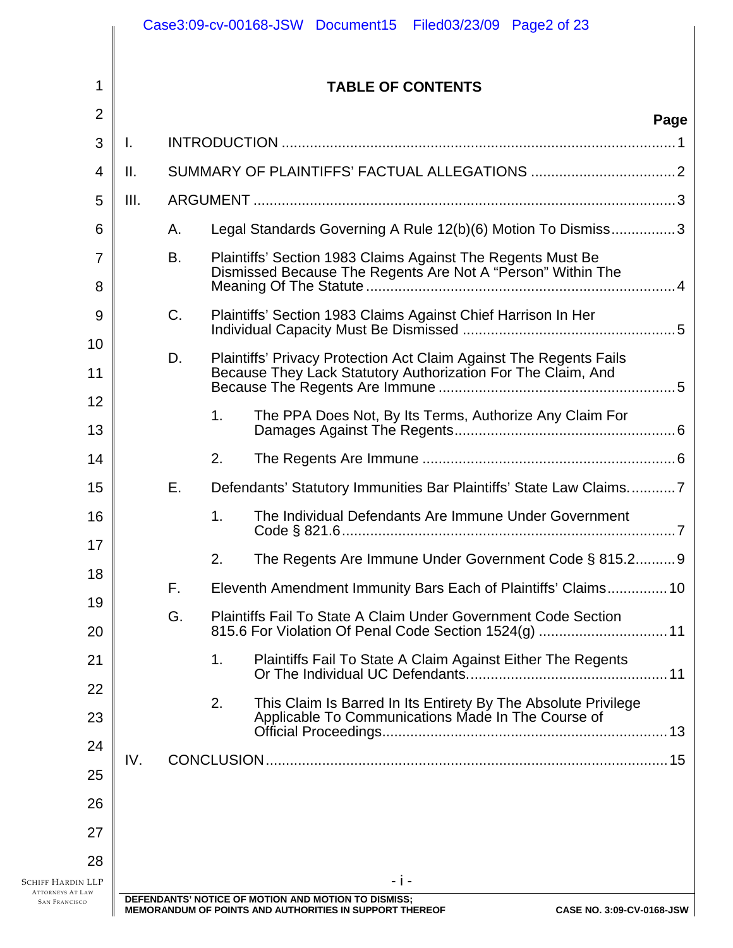|                                                                      |                          |           |    | Case3:09-cv-00168-JSW Document15 Filed03/23/09 Page2 of 23                                                                         |                           |  |
|----------------------------------------------------------------------|--------------------------|-----------|----|------------------------------------------------------------------------------------------------------------------------------------|---------------------------|--|
| 1                                                                    | <b>TABLE OF CONTENTS</b> |           |    |                                                                                                                                    |                           |  |
| $\overline{2}$                                                       |                          |           |    |                                                                                                                                    | Page                      |  |
| 3                                                                    | Ι.                       |           |    |                                                                                                                                    |                           |  |
| $\overline{4}$                                                       | Ⅱ.                       |           |    |                                                                                                                                    |                           |  |
| 5                                                                    | III.                     |           |    |                                                                                                                                    |                           |  |
| 6                                                                    |                          | Α.        |    | Legal Standards Governing A Rule 12(b)(6) Motion To Dismiss3                                                                       |                           |  |
| $\overline{7}$<br>8                                                  |                          | <b>B.</b> |    | Plaintiffs' Section 1983 Claims Against The Regents Must Be<br>Dismissed Because The Regents Are Not A "Person" Within The         |                           |  |
| 9<br>10                                                              |                          | C.        |    |                                                                                                                                    |                           |  |
| 11                                                                   |                          | D.        |    | Plaintiffs' Privacy Protection Act Claim Against The Regents Fails<br>Because They Lack Statutory Authorization For The Claim, And |                           |  |
| 12<br>13                                                             |                          |           | 1. |                                                                                                                                    |                           |  |
| 14                                                                   |                          |           | 2. |                                                                                                                                    |                           |  |
| 15                                                                   |                          | Ε.        |    | Defendants' Statutory Immunities Bar Plaintiffs' State Law Claims7                                                                 |                           |  |
| 16<br>17                                                             |                          |           | 1. | The Individual Defendants Are Immune Under Government                                                                              |                           |  |
| 18                                                                   |                          |           | 2. | The Regents Are Immune Under Government Code § 815.2 9                                                                             |                           |  |
| 19                                                                   |                          | F.        |    | Eleventh Amendment Immunity Bars Each of Plaintiffs' Claims10                                                                      |                           |  |
| 20                                                                   |                          | G.        |    | <b>Plaintiffs Fail To State A Claim Under Government Code Section</b>                                                              |                           |  |
| 21<br>22                                                             |                          |           | 1. | Plaintiffs Fail To State A Claim Against Either The Regents                                                                        |                           |  |
| 23                                                                   |                          |           | 2. | This Claim Is Barred In Its Entirety By The Absolute Privilege<br>Applicable To Communications Made In The Course of               |                           |  |
| 24<br>25                                                             | IV.                      |           |    |                                                                                                                                    |                           |  |
| 26                                                                   |                          |           |    |                                                                                                                                    |                           |  |
| 27                                                                   |                          |           |    |                                                                                                                                    |                           |  |
| 28                                                                   |                          |           |    | - j -                                                                                                                              |                           |  |
| Schiff Hardin LLP<br><b>ATTORNEYS AT LAW</b><br><b>SAN FRANCISCO</b> |                          |           |    | DEFENDANTS' NOTICE OF MOTION AND MOTION TO DISMISS;<br><b>MEMORANDUM OF POINTS AND AUTHORITIES IN SUPPORT THEREOF</b>              | CASE NO. 3:09-CV-0168-JSW |  |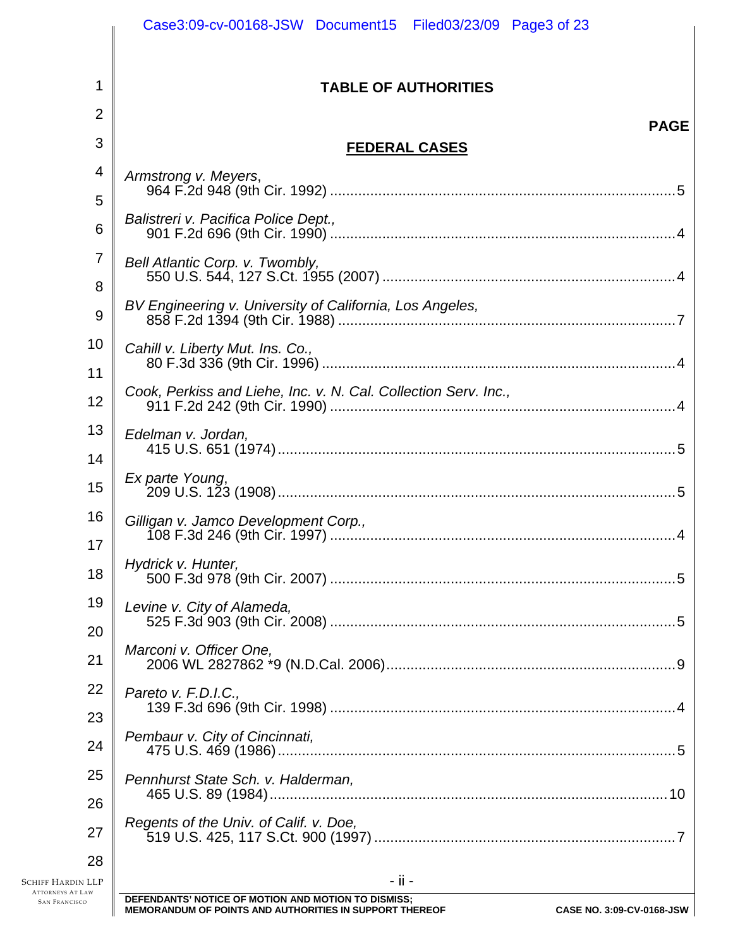| 1<br><b>TABLE OF AUTHORITIES</b><br>$\overline{2}$<br>3<br><b>FEDERAL CASES</b><br>4<br>Armstrong v. Meyers,<br>5<br>Balistreri v. Pacifica Police Dept.,<br>6<br>7<br>Bell Atlantic Corp. v. Twombly,<br>8<br>BV Engineering v. University of California, Los Angeles,<br>9<br>10<br>Cahill v. Liberty Mut. Ins. Co.,<br>11<br>12<br>13<br>Edelman v. Jordan,<br>14<br>Ex parte Young,<br>15<br>16<br>Gilligan v. Jamco Development Corp.,<br>17<br>Hydrick v. Hunter,<br>18<br>19<br>Levine v. City of Alameda,<br>20<br>Marconi v. Officer One,<br>21<br>22<br>Pareto v. F.D.I.C.,<br>23<br>Pembaur v. City of Cincinnati,<br>24<br>25<br>Pennhurst State Sch. v. Halderman,<br>26<br>Regents of the Univ. of Calif. v. Doe,<br>27 | Case3:09-cv-00168-JSW Document15 Filed03/23/09 Page3 of 23                         |
|---------------------------------------------------------------------------------------------------------------------------------------------------------------------------------------------------------------------------------------------------------------------------------------------------------------------------------------------------------------------------------------------------------------------------------------------------------------------------------------------------------------------------------------------------------------------------------------------------------------------------------------------------------------------------------------------------------------------------------------|------------------------------------------------------------------------------------|
|                                                                                                                                                                                                                                                                                                                                                                                                                                                                                                                                                                                                                                                                                                                                       |                                                                                    |
|                                                                                                                                                                                                                                                                                                                                                                                                                                                                                                                                                                                                                                                                                                                                       |                                                                                    |
|                                                                                                                                                                                                                                                                                                                                                                                                                                                                                                                                                                                                                                                                                                                                       | <b>PAGE</b>                                                                        |
|                                                                                                                                                                                                                                                                                                                                                                                                                                                                                                                                                                                                                                                                                                                                       |                                                                                    |
|                                                                                                                                                                                                                                                                                                                                                                                                                                                                                                                                                                                                                                                                                                                                       |                                                                                    |
|                                                                                                                                                                                                                                                                                                                                                                                                                                                                                                                                                                                                                                                                                                                                       |                                                                                    |
|                                                                                                                                                                                                                                                                                                                                                                                                                                                                                                                                                                                                                                                                                                                                       |                                                                                    |
|                                                                                                                                                                                                                                                                                                                                                                                                                                                                                                                                                                                                                                                                                                                                       |                                                                                    |
|                                                                                                                                                                                                                                                                                                                                                                                                                                                                                                                                                                                                                                                                                                                                       | <u>2. Externe of the City of Callonna, 2007, Marchisectorum (Charles Charles 7</u> |
|                                                                                                                                                                                                                                                                                                                                                                                                                                                                                                                                                                                                                                                                                                                                       |                                                                                    |
|                                                                                                                                                                                                                                                                                                                                                                                                                                                                                                                                                                                                                                                                                                                                       |                                                                                    |
|                                                                                                                                                                                                                                                                                                                                                                                                                                                                                                                                                                                                                                                                                                                                       |                                                                                    |
|                                                                                                                                                                                                                                                                                                                                                                                                                                                                                                                                                                                                                                                                                                                                       |                                                                                    |
|                                                                                                                                                                                                                                                                                                                                                                                                                                                                                                                                                                                                                                                                                                                                       |                                                                                    |
|                                                                                                                                                                                                                                                                                                                                                                                                                                                                                                                                                                                                                                                                                                                                       |                                                                                    |
|                                                                                                                                                                                                                                                                                                                                                                                                                                                                                                                                                                                                                                                                                                                                       |                                                                                    |
|                                                                                                                                                                                                                                                                                                                                                                                                                                                                                                                                                                                                                                                                                                                                       |                                                                                    |
|                                                                                                                                                                                                                                                                                                                                                                                                                                                                                                                                                                                                                                                                                                                                       |                                                                                    |
|                                                                                                                                                                                                                                                                                                                                                                                                                                                                                                                                                                                                                                                                                                                                       |                                                                                    |
|                                                                                                                                                                                                                                                                                                                                                                                                                                                                                                                                                                                                                                                                                                                                       |                                                                                    |
|                                                                                                                                                                                                                                                                                                                                                                                                                                                                                                                                                                                                                                                                                                                                       |                                                                                    |
|                                                                                                                                                                                                                                                                                                                                                                                                                                                                                                                                                                                                                                                                                                                                       |                                                                                    |
|                                                                                                                                                                                                                                                                                                                                                                                                                                                                                                                                                                                                                                                                                                                                       |                                                                                    |
|                                                                                                                                                                                                                                                                                                                                                                                                                                                                                                                                                                                                                                                                                                                                       |                                                                                    |
|                                                                                                                                                                                                                                                                                                                                                                                                                                                                                                                                                                                                                                                                                                                                       | 10                                                                                 |
|                                                                                                                                                                                                                                                                                                                                                                                                                                                                                                                                                                                                                                                                                                                                       |                                                                                    |
| 28                                                                                                                                                                                                                                                                                                                                                                                                                                                                                                                                                                                                                                                                                                                                    |                                                                                    |
| - ii -<br><b>SCHIFF HARDIN LLP</b><br><b>ATTORNEYS AT LAW</b><br>DEFENDANTS' NOTICE OF MOTION AND MOTION TO DISMISS;<br><b>SAN FRANCISCO</b>                                                                                                                                                                                                                                                                                                                                                                                                                                                                                                                                                                                          |                                                                                    |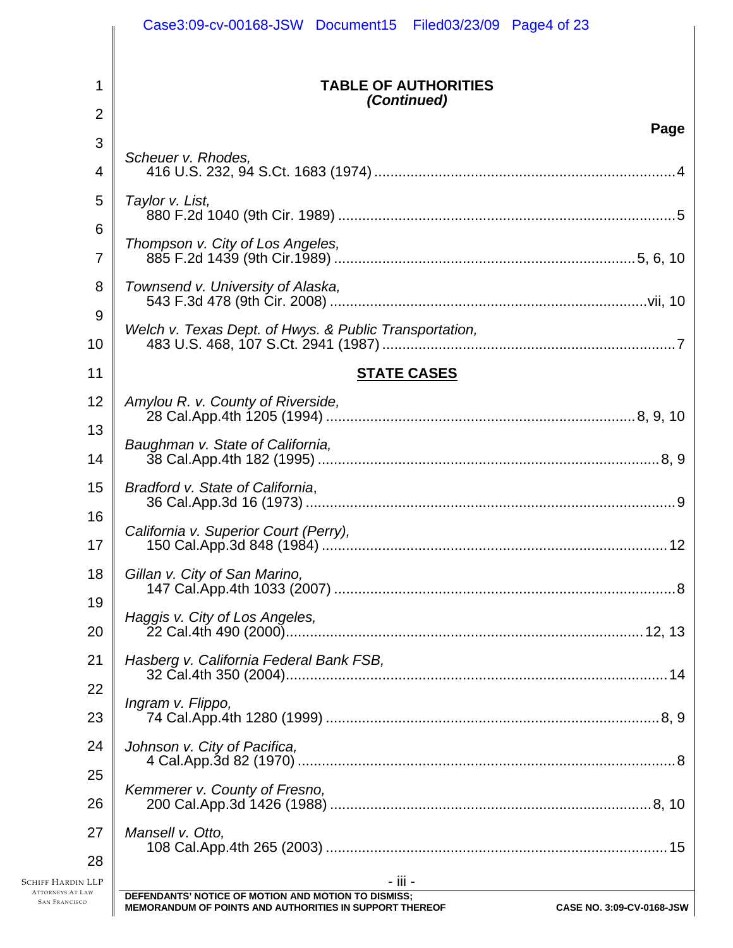|                                              | Case3:09-cv-00168-JSW Document15 Filed03/23/09 Page4 of 23                           |
|----------------------------------------------|--------------------------------------------------------------------------------------|
| 1                                            | <b>TABLE OF AUTHORITIES</b><br>(Continued)                                           |
| $\overline{2}$                               | Page                                                                                 |
| 3                                            | Scheuer v. Rhodes,                                                                   |
| 4                                            |                                                                                      |
| 5                                            | Taylor v. List,                                                                      |
| 6                                            |                                                                                      |
| $\overline{7}$                               | Thompson v. City of Los Angeles,                                                     |
| 8                                            | Townsend v. University of Alaska,                                                    |
| 9                                            |                                                                                      |
| 10                                           | Welch v. Texas Dept. of Hwys. & Public Transportation,                               |
| 11                                           | <b>STATE CASES</b>                                                                   |
| 12                                           | Amylou R. v. County of Riverside,                                                    |
| 13                                           |                                                                                      |
| 14                                           | Baughman v. State of California,                                                     |
| 15                                           | Bradford v. State of California,                                                     |
| 16                                           |                                                                                      |
| 17                                           | California v. Superior Court (Perry),<br>12                                          |
| 18                                           | Gillan v. City of San Marino,                                                        |
| 19                                           |                                                                                      |
| 20                                           | Haggis v. City of Los Angeles,                                                       |
| 21                                           | Hasberg v. California Federal Bank FSB,                                              |
| 22                                           |                                                                                      |
| 23                                           | Ingram v. Flippo,                                                                    |
| 24                                           | Johnson v. City of Pacifica,                                                         |
| 25                                           |                                                                                      |
| 26                                           | Kemmerer v. County of Fresno,                                                        |
| 27                                           | Mansell v. Otto,                                                                     |
| 28                                           |                                                                                      |
| Schiff Hardin LLP<br><b>ATTORNEYS AT LAW</b> | - iii -<br>DEFENDANTS' NOTICE OF MOTION AND MOTION TO DISMISS;                       |
| <b>SAN FRANCISCO</b>                         | MEMORANDUM OF POINTS AND AUTHORITIES IN SUPPORT THEREOF<br>CASE NO. 3:09-CV-0168-JSW |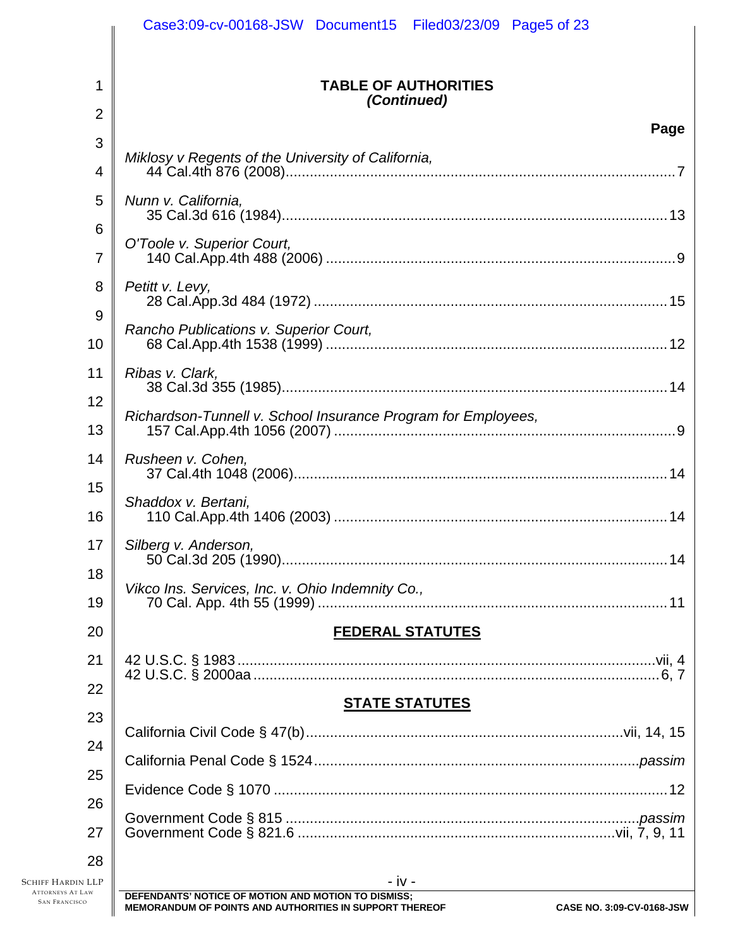|                                                     | Case3:09-cv-00168-JSW Document15 Filed03/23/09 Page5 of 23      |  |  |  |  |
|-----------------------------------------------------|-----------------------------------------------------------------|--|--|--|--|
|                                                     |                                                                 |  |  |  |  |
| 1                                                   | <b>TABLE OF AUTHORITIES</b>                                     |  |  |  |  |
| $\overline{2}$                                      | (Continued)                                                     |  |  |  |  |
| 3                                                   | Page                                                            |  |  |  |  |
| 4                                                   | Miklosy v Regents of the University of California,              |  |  |  |  |
| 5                                                   | Nunn v. California,                                             |  |  |  |  |
| 6                                                   |                                                                 |  |  |  |  |
| 7                                                   | O'Toole v. Superior Court,                                      |  |  |  |  |
| 8                                                   | Petitt v. Levy,                                                 |  |  |  |  |
| 9                                                   | Rancho Publications v. Superior Court,                          |  |  |  |  |
| 10                                                  |                                                                 |  |  |  |  |
| 11                                                  | Ribas v. Clark,                                                 |  |  |  |  |
| 12                                                  | Richardson-Tunnell v. School Insurance Program for Employees,   |  |  |  |  |
| 13                                                  |                                                                 |  |  |  |  |
| 14                                                  | Rusheen v. Cohen,                                               |  |  |  |  |
| 15                                                  | Shaddox v. Bertani,                                             |  |  |  |  |
| 16                                                  |                                                                 |  |  |  |  |
| 17                                                  | Silberg v. Anderson,                                            |  |  |  |  |
| 18                                                  | Vikco Ins. Services, Inc. v. Ohio Indemnity Co.,                |  |  |  |  |
| 19                                                  |                                                                 |  |  |  |  |
| 20                                                  | <b>FEDERAL STATUTES</b>                                         |  |  |  |  |
| 21                                                  |                                                                 |  |  |  |  |
| 22                                                  | <b>STATE STATUTES</b>                                           |  |  |  |  |
| 23                                                  |                                                                 |  |  |  |  |
| 24                                                  |                                                                 |  |  |  |  |
| 25                                                  |                                                                 |  |  |  |  |
| 26                                                  |                                                                 |  |  |  |  |
| 27                                                  |                                                                 |  |  |  |  |
| 28                                                  |                                                                 |  |  |  |  |
| <b>SCHIFF HARDIN LLP</b><br><b>ATTORNEYS AT LAW</b> | $- iv -$<br>DEFENDANTS' NOTICE OF MOTION AND MOTION TO DISMISS; |  |  |  |  |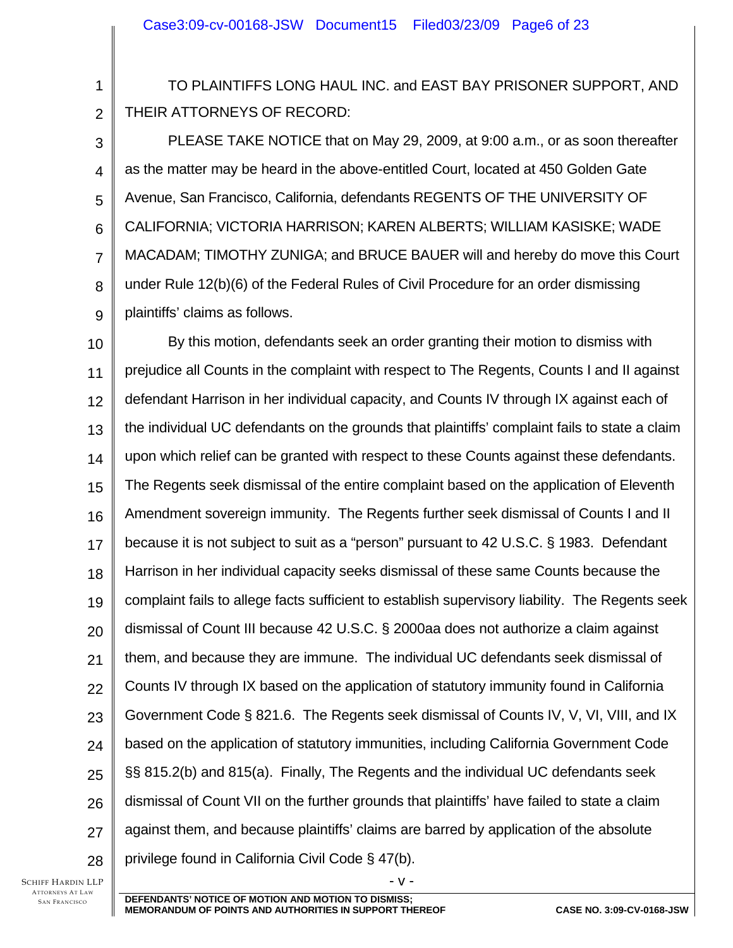TO PLAINTIFFS LONG HAUL INC. and EAST BAY PRISONER SUPPORT, AND THEIR ATTORNEYS OF RECORD:

3 4 5 6 7 8 9 PLEASE TAKE NOTICE that on May 29, 2009, at 9:00 a.m., or as soon thereafter as the matter may be heard in the above-entitled Court, located at 450 Golden Gate Avenue, San Francisco, California, defendants REGENTS OF THE UNIVERSITY OF CALIFORNIA; VICTORIA HARRISON; KAREN ALBERTS; WILLIAM KASISKE; WADE MACADAM; TIMOTHY ZUNIGA; and BRUCE BAUER will and hereby do move this Court under Rule 12(b)(6) of the Federal Rules of Civil Procedure for an order dismissing plaintiffs' claims as follows.

10 11 12 13 14 15 16 17 18 19 20 21 22 23 24 25 26 27 28 By this motion, defendants seek an order granting their motion to dismiss with prejudice all Counts in the complaint with respect to The Regents, Counts I and II against defendant Harrison in her individual capacity, and Counts IV through IX against each of the individual UC defendants on the grounds that plaintiffs' complaint fails to state a claim upon which relief can be granted with respect to these Counts against these defendants. The Regents seek dismissal of the entire complaint based on the application of Eleventh Amendment sovereign immunity. The Regents further seek dismissal of Counts I and II because it is not subject to suit as a "person" pursuant to 42 U.S.C. § 1983. Defendant Harrison in her individual capacity seeks dismissal of these same Counts because the complaint fails to allege facts sufficient to establish supervisory liability. The Regents seek dismissal of Count III because 42 U.S.C. § 2000aa does not authorize a claim against them, and because they are immune. The individual UC defendants seek dismissal of Counts IV through IX based on the application of statutory immunity found in California Government Code § 821.6. The Regents seek dismissal of Counts IV, V, VI, VIII, and IX based on the application of statutory immunities, including California Government Code §§ 815.2(b) and 815(a). Finally, The Regents and the individual UC defendants seek dismissal of Count VII on the further grounds that plaintiffs' have failed to state a claim against them, and because plaintiffs' claims are barred by application of the absolute privilege found in California Civil Code § 47(b).

SCHIFF HARDIN LLP ATTORNEYS AT LAW SAN FRANCISCO

1

2

 $-V -$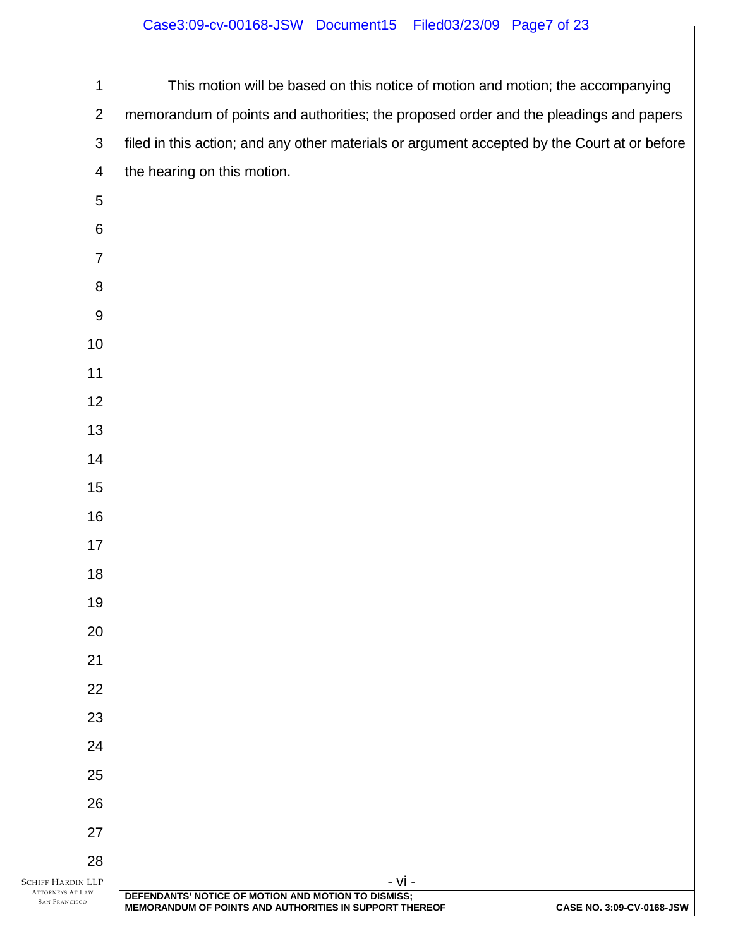## Case3:09-cv-00168-JSW Document15 Filed03/23/09 Page7 of 23

| $\mathbf 1$                                     | This motion will be based on this notice of motion and motion; the accompanying                                |                           |
|-------------------------------------------------|----------------------------------------------------------------------------------------------------------------|---------------------------|
| $\overline{2}$                                  | memorandum of points and authorities; the proposed order and the pleadings and papers                          |                           |
| $\mathfrak{S}$                                  | filed in this action; and any other materials or argument accepted by the Court at or before                   |                           |
| $\overline{\mathcal{A}}$                        | the hearing on this motion.                                                                                    |                           |
| $\sqrt{5}$                                      |                                                                                                                |                           |
| $\,6$                                           |                                                                                                                |                           |
| $\overline{7}$                                  |                                                                                                                |                           |
| $\,8\,$                                         |                                                                                                                |                           |
| $\boldsymbol{9}$                                |                                                                                                                |                           |
| $10$                                            |                                                                                                                |                           |
| 11                                              |                                                                                                                |                           |
| 12                                              |                                                                                                                |                           |
| 13                                              |                                                                                                                |                           |
| 14                                              |                                                                                                                |                           |
| 15                                              |                                                                                                                |                           |
| 16                                              |                                                                                                                |                           |
| 17                                              |                                                                                                                |                           |
| 18                                              |                                                                                                                |                           |
| 19                                              |                                                                                                                |                           |
| 20                                              |                                                                                                                |                           |
| 21                                              |                                                                                                                |                           |
| 22                                              |                                                                                                                |                           |
| 23                                              |                                                                                                                |                           |
| 24                                              |                                                                                                                |                           |
| 25                                              |                                                                                                                |                           |
| 26                                              |                                                                                                                |                           |
| 27                                              |                                                                                                                |                           |
| 28<br><b>SCHIFF HARDIN LLP</b>                  | - vi -                                                                                                         |                           |
| <b>ATTORNEYS AT LAW</b><br><b>SAN FRANCISCO</b> | DEFENDANTS' NOTICE OF MOTION AND MOTION TO DISMISS;<br>MEMORANDUM OF POINTS AND AUTHORITIES IN SUPPORT THEREOF | CASE NO. 3:09-CV-0168-JSW |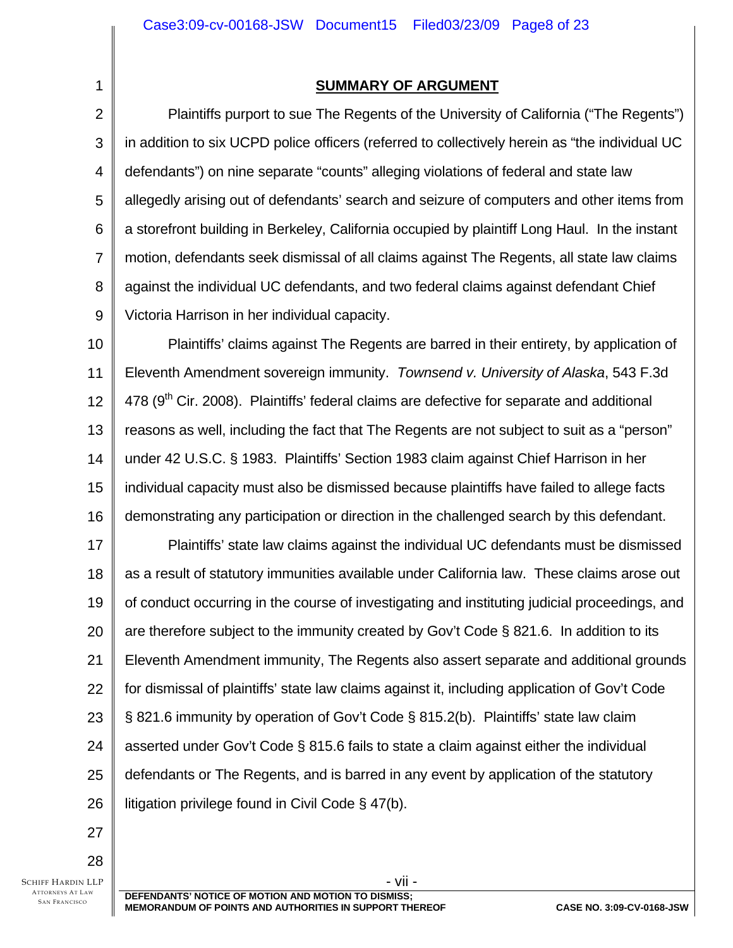**SUMMARY OF ARGUMENT**

2 3 4 5 6 7 8 9 Plaintiffs purport to sue The Regents of the University of California ("The Regents") in addition to six UCPD police officers (referred to collectively herein as "the individual UC defendants") on nine separate "counts" alleging violations of federal and state law allegedly arising out of defendants' search and seizure of computers and other items from a storefront building in Berkeley, California occupied by plaintiff Long Haul. In the instant motion, defendants seek dismissal of all claims against The Regents, all state law claims against the individual UC defendants, and two federal claims against defendant Chief Victoria Harrison in her individual capacity.

10 11 12 13 14 15 16 Plaintiffs' claims against The Regents are barred in their entirety, by application of Eleventh Amendment sovereign immunity. *Townsend v. University of Alaska*, 543 F.3d  $478$  (9<sup>th</sup> Cir. 2008). Plaintiffs' federal claims are defective for separate and additional reasons as well, including the fact that The Regents are not subject to suit as a "person" under 42 U.S.C. § 1983. Plaintiffs' Section 1983 claim against Chief Harrison in her individual capacity must also be dismissed because plaintiffs have failed to allege facts demonstrating any participation or direction in the challenged search by this defendant.

17 18 19 20 21 22 23 24 25 26 Plaintiffs' state law claims against the individual UC defendants must be dismissed as a result of statutory immunities available under California law. These claims arose out of conduct occurring in the course of investigating and instituting judicial proceedings, and are therefore subject to the immunity created by Gov't Code § 821.6. In addition to its Eleventh Amendment immunity, The Regents also assert separate and additional grounds for dismissal of plaintiffs' state law claims against it, including application of Gov't Code § 821.6 immunity by operation of Gov't Code § 815.2(b). Plaintiffs' state law claim asserted under Gov't Code § 815.6 fails to state a claim against either the individual defendants or The Regents, and is barred in any event by application of the statutory litigation privilege found in Civil Code § 47(b).

27 28

1

SCHIFF HARDIN LLP ATTORNEYS AT LAW SAN FRANCISCO

- vii - **DEFENDANTS' NOTICE OF MOTION AND MOTION TO DISMISS; MEMORANDUM OF POINTS AND AUTHORITIES IN SUPPORT THEREOF CASE NO. 3:09-CV-0168-JSW**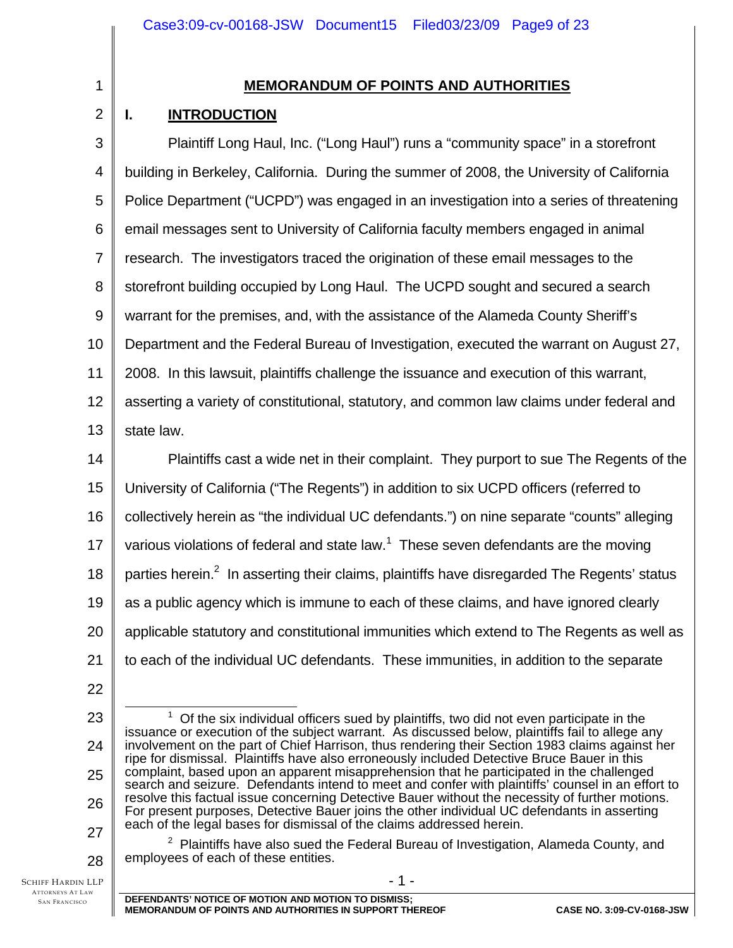| ٦<br>٧ |  |  |
|--------|--|--|
|        |  |  |
|        |  |  |

2

# **MEMORANDUM OF POINTS AND AUTHORITIES**

# **I. INTRODUCTION**

| 3              | Plaintiff Long Haul, Inc. ("Long Haul") runs a "community space" in a storefront                                                                                                                                                                                                                  |
|----------------|---------------------------------------------------------------------------------------------------------------------------------------------------------------------------------------------------------------------------------------------------------------------------------------------------|
| 4              | building in Berkeley, California. During the summer of 2008, the University of California                                                                                                                                                                                                         |
| 5              | Police Department ("UCPD") was engaged in an investigation into a series of threatening                                                                                                                                                                                                           |
| 6              | email messages sent to University of California faculty members engaged in animal                                                                                                                                                                                                                 |
| $\overline{7}$ | research. The investigators traced the origination of these email messages to the                                                                                                                                                                                                                 |
| 8              | storefront building occupied by Long Haul. The UCPD sought and secured a search                                                                                                                                                                                                                   |
| 9              | warrant for the premises, and, with the assistance of the Alameda County Sheriff's                                                                                                                                                                                                                |
| 10             | Department and the Federal Bureau of Investigation, executed the warrant on August 27,                                                                                                                                                                                                            |
| 11             | 2008. In this lawsuit, plaintiffs challenge the issuance and execution of this warrant,                                                                                                                                                                                                           |
| 12             | asserting a variety of constitutional, statutory, and common law claims under federal and                                                                                                                                                                                                         |
| 13             | state law.                                                                                                                                                                                                                                                                                        |
| 14             | Plaintiffs cast a wide net in their complaint. They purport to sue The Regents of the                                                                                                                                                                                                             |
| 15             | University of California ("The Regents") in addition to six UCPD officers (referred to                                                                                                                                                                                                            |
| 16             | collectively herein as "the individual UC defendants.") on nine separate "counts" alleging                                                                                                                                                                                                        |
| 17             | various violations of federal and state law. <sup>1</sup> These seven defendants are the moving                                                                                                                                                                                                   |
| 18             | parties herein. <sup>2</sup> In asserting their claims, plaintiffs have disregarded The Regents' status                                                                                                                                                                                           |
| 19             | as a public agency which is immune to each of these claims, and have ignored clearly                                                                                                                                                                                                              |
| 20             | applicable statutory and constitutional immunities which extend to The Regents as well as                                                                                                                                                                                                         |
| 21             | to each of the individual UC defendants. These immunities, in addition to the separate                                                                                                                                                                                                            |
| 22             |                                                                                                                                                                                                                                                                                                   |
| 23             | $1$ Of the six individual officers sued by plaintiffs, two did not even participate in the                                                                                                                                                                                                        |
| 24             | issuance or execution of the subject warrant. As discussed below, plaintiffs fail to allege any<br>involvement on the part of Chief Harrison, thus rendering their Section 1983 claims against her<br>ripe for dismissal. Plaintiffs have also erroneously included Detective Bruce Bauer in this |
| 25             | complaint, based upon an apparent misapprehension that he participated in the challenged<br>search and seizure. Defendants intend to meet and confer with plaintiffs' counsel in an effort to                                                                                                     |

resolve this factual issue concerning Detective Bauer without the necessity of further motions. For present purposes, Detective Bauer joins the other individual UC defendants in asserting each of the legal bases for dismissal of the claims addressed herein.

 $2$  Plaintiffs have also sued the Federal Bureau of Investigation, Alameda County, and employees of each of these entities.

SCHIFF HARDIN LLP ATTORNEYS AT LAW SAN FRANCISCO

26

27

28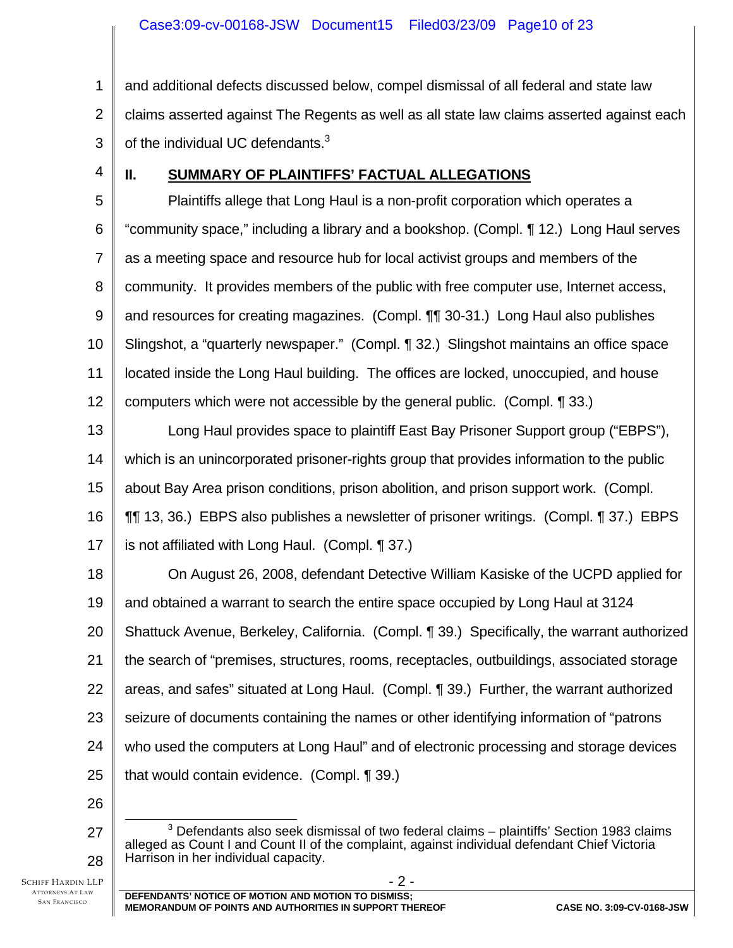1 2 3 and additional defects discussed below, compel dismissal of all federal and state law claims asserted against The Regents as well as all state law claims asserted against each of the individual UC defendants. $3$ 

4

# **II. SUMMARY OF PLAINTIFFS' FACTUAL ALLEGATIONS**

5 6 7 8 9 10 11 12 Plaintiffs allege that Long Haul is a non-profit corporation which operates a "community space," including a library and a bookshop. (Compl. ¶ 12.) Long Haul serves as a meeting space and resource hub for local activist groups and members of the community. It provides members of the public with free computer use, Internet access, and resources for creating magazines. (Compl. ¶¶ 30-31.) Long Haul also publishes Slingshot, a "quarterly newspaper." (Compl. ¶ 32.) Slingshot maintains an office space located inside the Long Haul building. The offices are locked, unoccupied, and house computers which were not accessible by the general public. (Compl. ¶ 33.)

13 14 15 16 17 Long Haul provides space to plaintiff East Bay Prisoner Support group ("EBPS"), which is an unincorporated prisoner-rights group that provides information to the public about Bay Area prison conditions, prison abolition, and prison support work. (Compl. ¶¶ 13, 36.) EBPS also publishes a newsletter of prisoner writings. (Compl. ¶ 37.) EBPS is not affiliated with Long Haul. (Compl. ¶ 37.)

18 19 20 21 22 23 24 25 On August 26, 2008, defendant Detective William Kasiske of the UCPD applied for and obtained a warrant to search the entire space occupied by Long Haul at 3124 Shattuck Avenue, Berkeley, California. (Compl. ¶ 39.) Specifically, the warrant authorized the search of "premises, structures, rooms, receptacles, outbuildings, associated storage areas, and safes" situated at Long Haul. (Compl. ¶ 39.) Further, the warrant authorized seizure of documents containing the names or other identifying information of "patrons who used the computers at Long Haul" and of electronic processing and storage devices that would contain evidence. (Compl. ¶ 39.)

26

27

28

 $\overline{\phantom{a}}$  3  $3$  Defendants also seek dismissal of two federal claims – plaintiffs' Section 1983 claims alleged as Count I and Count II of the complaint, against individual defendant Chief Victoria Harrison in her individual capacity.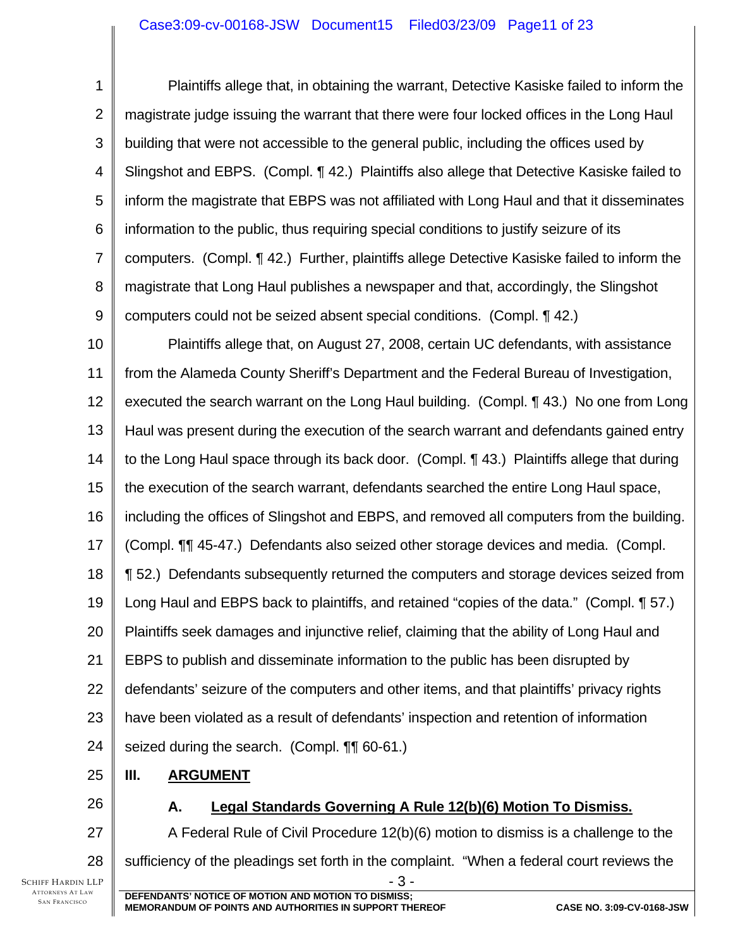## Case3:09-cv-00168-JSW Document15 Filed03/23/09 Page11 of 23

1 2 3 4 5 6 7 8 9 Plaintiffs allege that, in obtaining the warrant, Detective Kasiske failed to inform the magistrate judge issuing the warrant that there were four locked offices in the Long Haul building that were not accessible to the general public, including the offices used by Slingshot and EBPS. (Compl. ¶ 42.) Plaintiffs also allege that Detective Kasiske failed to inform the magistrate that EBPS was not affiliated with Long Haul and that it disseminates information to the public, thus requiring special conditions to justify seizure of its computers. (Compl. ¶ 42.) Further, plaintiffs allege Detective Kasiske failed to inform the magistrate that Long Haul publishes a newspaper and that, accordingly, the Slingshot computers could not be seized absent special conditions. (Compl. ¶ 42.)

10 11 12 13 14 15 16 17 18 19 20 21 22 23 24 Plaintiffs allege that, on August 27, 2008, certain UC defendants, with assistance from the Alameda County Sheriff's Department and the Federal Bureau of Investigation, executed the search warrant on the Long Haul building. (Compl. ¶ 43.) No one from Long Haul was present during the execution of the search warrant and defendants gained entry to the Long Haul space through its back door. (Compl. ¶ 43.) Plaintiffs allege that during the execution of the search warrant, defendants searched the entire Long Haul space, including the offices of Slingshot and EBPS, and removed all computers from the building. (Compl. ¶¶ 45-47.) Defendants also seized other storage devices and media. (Compl. ¶ 52.) Defendants subsequently returned the computers and storage devices seized from Long Haul and EBPS back to plaintiffs, and retained "copies of the data." (Compl. 1 57.) Plaintiffs seek damages and injunctive relief, claiming that the ability of Long Haul and EBPS to publish and disseminate information to the public has been disrupted by defendants' seizure of the computers and other items, and that plaintiffs' privacy rights have been violated as a result of defendants' inspection and retention of information seized during the search. (Compl. ¶¶ 60-61.)

25 **III. ARGUMENT**

26

27

28

## **A. Legal Standards Governing A Rule 12(b)(6) Motion To Dismiss.**

- 3 - A Federal Rule of Civil Procedure 12(b)(6) motion to dismiss is a challenge to the sufficiency of the pleadings set forth in the complaint. "When a federal court reviews the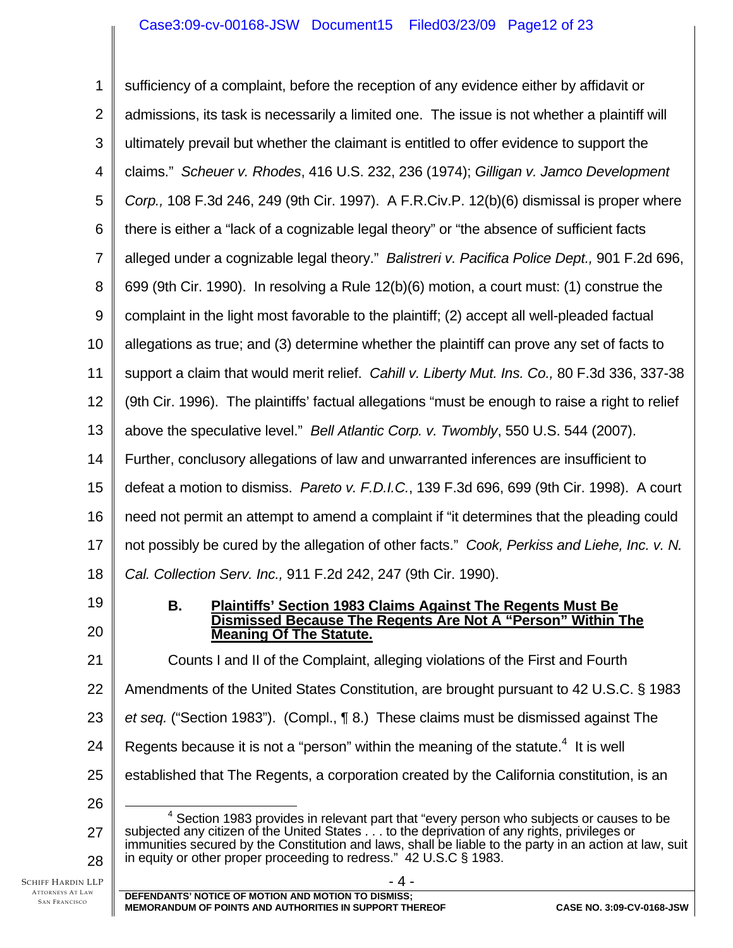1 2 3 4 5 6 7 8 9 10 11 12 13 14 15 16 17 18 19 20 21 22 23 24 25 26 27 28  $\Delta$  sufficiency of a complaint, before the reception of any evidence either by affidavit or admissions, its task is necessarily a limited one. The issue is not whether a plaintiff will ultimately prevail but whether the claimant is entitled to offer evidence to support the claims." *Scheuer v. Rhodes*, 416 U.S. 232, 236 (1974); *Gilligan v. Jamco Development Corp.,* 108 F.3d 246, 249 (9th Cir. 1997). A F.R.Civ.P. 12(b)(6) dismissal is proper where there is either a "lack of a cognizable legal theory" or "the absence of sufficient facts alleged under a cognizable legal theory." *Balistreri v. Pacifica Police Dept.,* 901 F.2d 696, 699 (9th Cir. 1990). In resolving a Rule 12(b)(6) motion, a court must: (1) construe the complaint in the light most favorable to the plaintiff; (2) accept all well-pleaded factual allegations as true; and (3) determine whether the plaintiff can prove any set of facts to support a claim that would merit relief. *Cahill v. Liberty Mut. Ins. Co.,* 80 F.3d 336, 337-38 (9th Cir. 1996). The plaintiffs' factual allegations "must be enough to raise a right to relief above the speculative level." *Bell Atlantic Corp. v. Twombly*, 550 U.S. 544 (2007). Further, conclusory allegations of law and unwarranted inferences are insufficient to defeat a motion to dismiss. *Pareto v. F.D.I.C.*, 139 F.3d 696, 699 (9th Cir. 1998). A court need not permit an attempt to amend a complaint if "it determines that the pleading could not possibly be cured by the allegation of other facts." *Cook, Perkiss and Liehe, Inc. v. N. Cal. Collection Serv. Inc.,* 911 F.2d 242, 247 (9th Cir. 1990). **B. Plaintiffs' Section 1983 Claims Against The Regents Must Be Dismissed Because The Regents Are Not A "Person" Within The Meaning Of The Statute.** Counts I and II of the Complaint, alleging violations of the First and Fourth Amendments of the United States Constitution, are brought pursuant to 42 U.S.C. § 1983 *et seq.* ("Section 1983"). (Compl., ¶ 8.) These claims must be dismissed against The Regents because it is not a "person" within the meaning of the statute. $4$  It is well established that The Regents, a corporation created by the California constitution, is an  $\overline{a}$  $4$  Section 1983 provides in relevant part that "every person who subjects or causes to be subjected any citizen of the United States . . . to the deprivation of any rights, privileges or immunities secured by the Constitution and laws, shall be liable to the party in an action at law, suit in equity or other proper proceeding to redress." 42 U.S.C § 1983.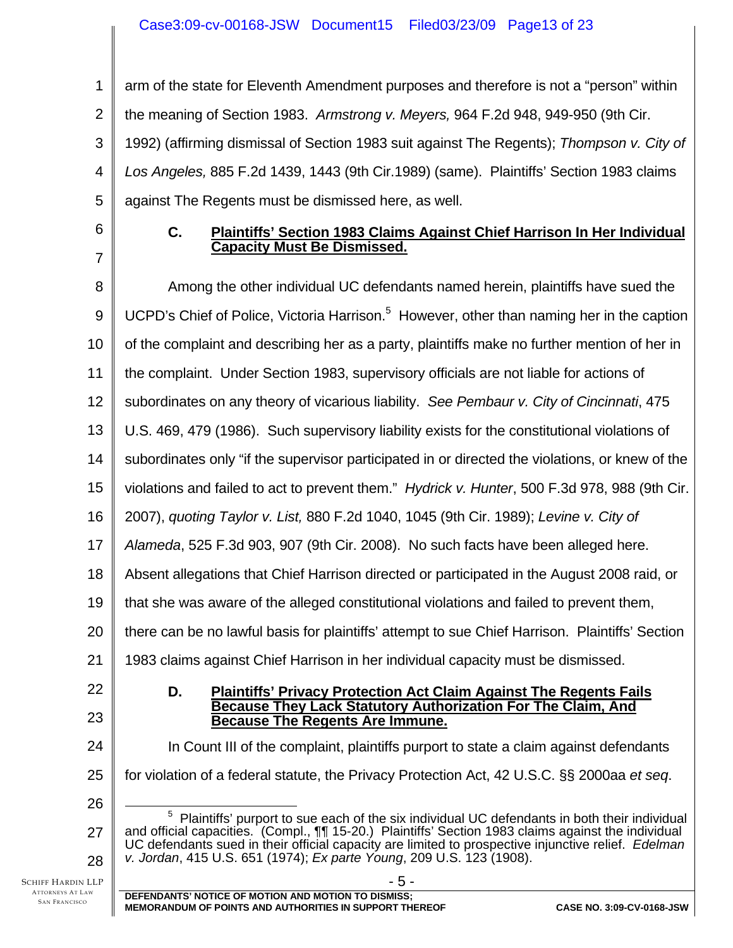1 2 3 4 5 arm of the state for Eleventh Amendment purposes and therefore is not a "person" within the meaning of Section 1983. *Armstrong v. Meyers,* 964 F.2d 948, 949-950 (9th Cir. 1992) (affirming dismissal of Section 1983 suit against The Regents); *Thompson v. City of Los Angeles,* 885 F.2d 1439, 1443 (9th Cir.1989) (same). Plaintiffs' Section 1983 claims against The Regents must be dismissed here, as well.

6 7

## **C. Plaintiffs' Section 1983 Claims Against Chief Harrison In Her Individual Capacity Must Be Dismissed.**

SCHIFF HARDIN LLP 8 9 10 11 12 13 14 15 16 17 18 19 20 21 22 23 24 25 26 27 28 - 5 - Among the other individual UC defendants named herein, plaintiffs have sued the UCPD's Chief of Police, Victoria Harrison.<sup>5</sup> However, other than naming her in the caption of the complaint and describing her as a party, plaintiffs make no further mention of her in the complaint. Under Section 1983, supervisory officials are not liable for actions of subordinates on any theory of vicarious liability. *See Pembaur v. City of Cincinnati*, 475 U.S. 469, 479 (1986). Such supervisory liability exists for the constitutional violations of subordinates only "if the supervisor participated in or directed the violations, or knew of the violations and failed to act to prevent them." *Hydrick v. Hunter*, 500 F.3d 978, 988 (9th Cir. 2007), *quoting Taylor v. List,* 880 F.2d 1040, 1045 (9th Cir. 1989); *Levine v. City of Alameda*, 525 F.3d 903, 907 (9th Cir. 2008). No such facts have been alleged here. Absent allegations that Chief Harrison directed or participated in the August 2008 raid, or that she was aware of the alleged constitutional violations and failed to prevent them, there can be no lawful basis for plaintiffs' attempt to sue Chief Harrison. Plaintiffs' Section 1983 claims against Chief Harrison in her individual capacity must be dismissed. **D. Plaintiffs' Privacy Protection Act Claim Against The Regents Fails Because They Lack Statutory Authorization For The Claim, And Because The Regents Are Immune.** In Count III of the complaint, plaintiffs purport to state a claim against defendants for violation of a federal statute, the Privacy Protection Act, 42 U.S.C. §§ 2000aa *et seq*. 5  $5$  Plaintiffs' purport to sue each of the six individual UC defendants in both their individual and official capacities. (Compl., ¶¶ 15-20.) Plaintiffs' Section 1983 claims against the individual UC defendants sued in their official capacity are limited to prospective injunctive relief. *Edelman v. Jordan*, 415 U.S. 651 (1974); *Ex parte Young*, 209 U.S. 123 (1908).

ATTORNEYS AT LAW SAN FRANCISCO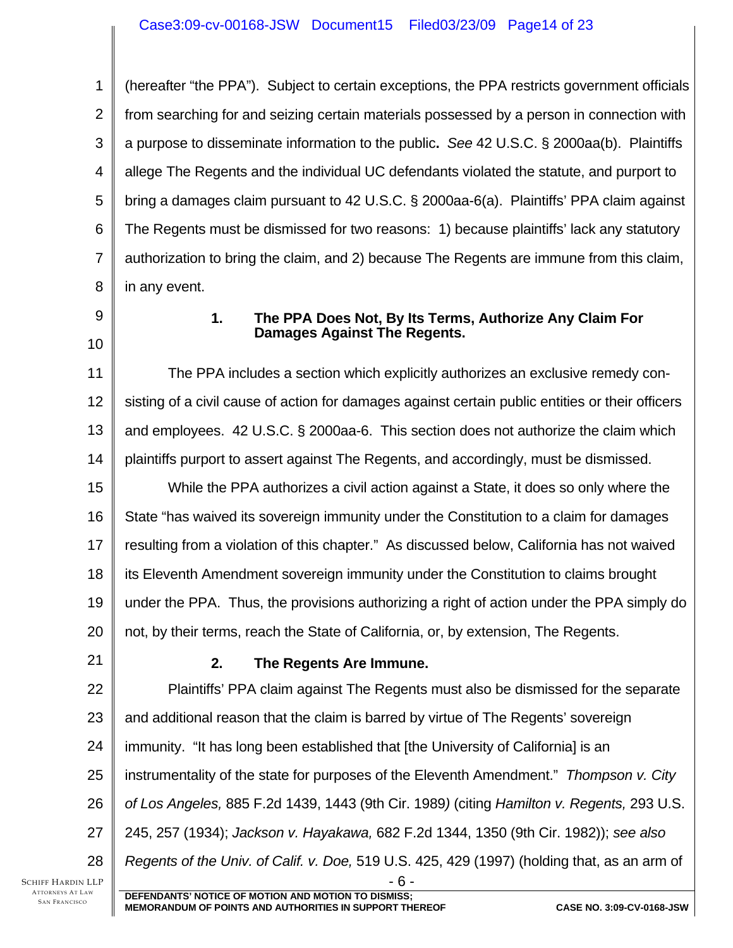1 2 3 4 5 6 7 8 (hereafter "the PPA"). Subject to certain exceptions, the PPA restricts government officials from searching for and seizing certain materials possessed by a person in connection with a purpose to disseminate information to the public**.** *See* 42 U.S.C. § 2000aa(b). Plaintiffs allege The Regents and the individual UC defendants violated the statute, and purport to bring a damages claim pursuant to 42 U.S.C. § 2000aa-6(a). Plaintiffs' PPA claim against The Regents must be dismissed for two reasons: 1) because plaintiffs' lack any statutory authorization to bring the claim, and 2) because The Regents are immune from this claim, in any event.

- 9
- 10

## **1. The PPA Does Not, By Its Terms, Authorize Any Claim For Damages Against The Regents.**

11 12 13 14 15 16 17 18 19 20 The PPA includes a section which explicitly authorizes an exclusive remedy consisting of a civil cause of action for damages against certain public entities or their officers and employees. 42 U.S.C. § 2000aa-6. This section does not authorize the claim which plaintiffs purport to assert against The Regents, and accordingly, must be dismissed. While the PPA authorizes a civil action against a State, it does so only where the State "has waived its sovereign immunity under the Constitution to a claim for damages resulting from a violation of this chapter." As discussed below, California has not waived its Eleventh Amendment sovereign immunity under the Constitution to claims brought under the PPA. Thus, the provisions authorizing a right of action under the PPA simply do not, by their terms, reach the State of California, or, by extension, The Regents.

21

# **2. The Regents Are Immune.**

22 23 24 25 26 27 28 - 6 - Plaintiffs' PPA claim against The Regents must also be dismissed for the separate and additional reason that the claim is barred by virtue of The Regents' sovereign immunity. "It has long been established that [the University of California] is an instrumentality of the state for purposes of the Eleventh Amendment." *Thompson v. City of Los Angeles,* 885 F.2d 1439, 1443 (9th Cir. 1989*)* (citing *Hamilton v. Regents,* 293 U.S. 245, 257 (1934); *Jackson v. Hayakawa,* 682 F.2d 1344, 1350 (9th Cir. 1982)); *see also Regents of the Univ. of Calif. v. Doe,* 519 U.S. 425, 429 (1997) (holding that, as an arm of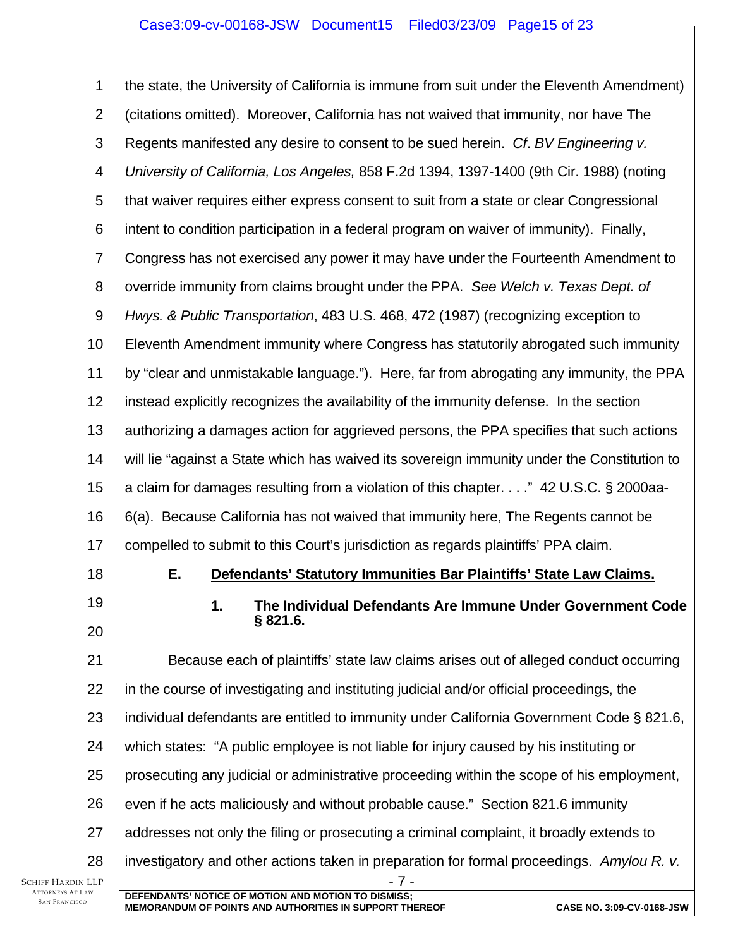#### Case3:09-cv-00168-JSW Document15 Filed03/23/09 Page15 of 23

SCHIFF HARDIN LLP 1 2 3 4 5 6 7 8 9 10 11 12 13 14 15 16 17 18 19 20 21 22 23 24 25 26 27 28 - 7 - **DEFENDANTS' NOTICE OF MOTION AND MOTION TO DISMISS;**  the state, the University of California is immune from suit under the Eleventh Amendment) (citations omitted). Moreover, California has not waived that immunity, nor have The Regents manifested any desire to consent to be sued herein. *Cf*. *BV Engineering v. University of California, Los Angeles,* 858 F.2d 1394, 1397-1400 (9th Cir. 1988) (noting that waiver requires either express consent to suit from a state or clear Congressional intent to condition participation in a federal program on waiver of immunity). Finally, Congress has not exercised any power it may have under the Fourteenth Amendment to override immunity from claims brought under the PPA. *See Welch v. Texas Dept. of Hwys. & Public Transportation*, 483 U.S. 468, 472 (1987) (recognizing exception to Eleventh Amendment immunity where Congress has statutorily abrogated such immunity by "clear and unmistakable language."). Here, far from abrogating any immunity, the PPA instead explicitly recognizes the availability of the immunity defense. In the section authorizing a damages action for aggrieved persons, the PPA specifies that such actions will lie "against a State which has waived its sovereign immunity under the Constitution to a claim for damages resulting from a violation of this chapter. . . ." 42 U.S.C. § 2000aa-6(a). Because California has not waived that immunity here, The Regents cannot be compelled to submit to this Court's jurisdiction as regards plaintiffs' PPA claim. **E. Defendants' Statutory Immunities Bar Plaintiffs' State Law Claims. 1. The Individual Defendants Are Immune Under Government Code § 821.6.**  Because each of plaintiffs' state law claims arises out of alleged conduct occurring in the course of investigating and instituting judicial and/or official proceedings, the individual defendants are entitled to immunity under California Government Code § 821.6, which states: "A public employee is not liable for injury caused by his instituting or prosecuting any judicial or administrative proceeding within the scope of his employment, even if he acts maliciously and without probable cause." Section 821.6 immunity addresses not only the filing or prosecuting a criminal complaint, it broadly extends to investigatory and other actions taken in preparation for formal proceedings. *Amylou R. v.* 

ATTORNEYS AT LAW SAN FRANCISCO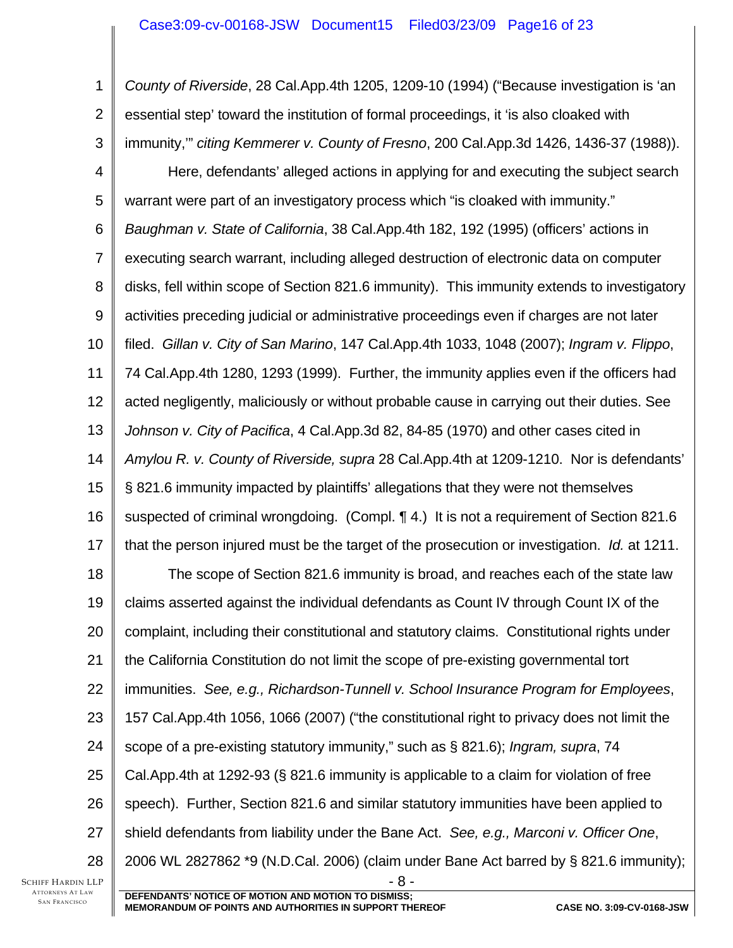## Case3:09-cv-00168-JSW Document15 Filed03/23/09 Page16 of 23

SCHIFF HARDIN LLP 1 2 3 4 5 6 7 8 9 10 11 12 13 14 15 16 17 18 19 20 21 22 23 24 25 26 27 28 - 8 - **DEFENDANTS' NOTICE OF MOTION AND MOTION TO DISMISS;**  *County of Riverside*, 28 Cal.App.4th 1205, 1209-10 (1994) ("Because investigation is 'an essential step' toward the institution of formal proceedings, it 'is also cloaked with immunity,'" *citing Kemmerer v. County of Fresno*, 200 Cal.App.3d 1426, 1436-37 (1988)). Here, defendants' alleged actions in applying for and executing the subject search warrant were part of an investigatory process which "is cloaked with immunity." *Baughman v. State of California*, 38 Cal.App.4th 182, 192 (1995) (officers' actions in executing search warrant, including alleged destruction of electronic data on computer disks, fell within scope of Section 821.6 immunity). This immunity extends to investigatory activities preceding judicial or administrative proceedings even if charges are not later filed. *Gillan v. City of San Marino*, 147 Cal.App.4th 1033, 1048 (2007); *Ingram v. Flippo*, 74 Cal.App.4th 1280, 1293 (1999). Further, the immunity applies even if the officers had acted negligently, maliciously or without probable cause in carrying out their duties. See *Johnson v. City of Pacifica*, 4 Cal.App.3d 82, 84-85 (1970) and other cases cited in *Amylou R. v. County of Riverside, supra* 28 Cal.App.4th at 1209-1210. Nor is defendants' § 821.6 immunity impacted by plaintiffs' allegations that they were not themselves suspected of criminal wrongdoing. (Compl. ¶ 4.) It is not a requirement of Section 821.6 that the person injured must be the target of the prosecution or investigation. *Id.* at 1211. The scope of Section 821.6 immunity is broad, and reaches each of the state law claims asserted against the individual defendants as Count IV through Count IX of the complaint, including their constitutional and statutory claims. Constitutional rights under the California Constitution do not limit the scope of pre-existing governmental tort immunities. *See, e.g., Richardson-Tunnell v. School Insurance Program for Employees*, 157 Cal.App.4th 1056, 1066 (2007) ("the constitutional right to privacy does not limit the scope of a pre-existing statutory immunity," such as § 821.6); *Ingram, supra*, 74 Cal.App.4th at 1292-93 (§ 821.6 immunity is applicable to a claim for violation of free speech). Further, Section 821.6 and similar statutory immunities have been applied to shield defendants from liability under the Bane Act. *See, e.g., Marconi v. Officer One*, 2006 WL 2827862 \*9 (N.D.Cal. 2006) (claim under Bane Act barred by § 821.6 immunity);

ATTORNEYS AT LAW SAN FRANCISCO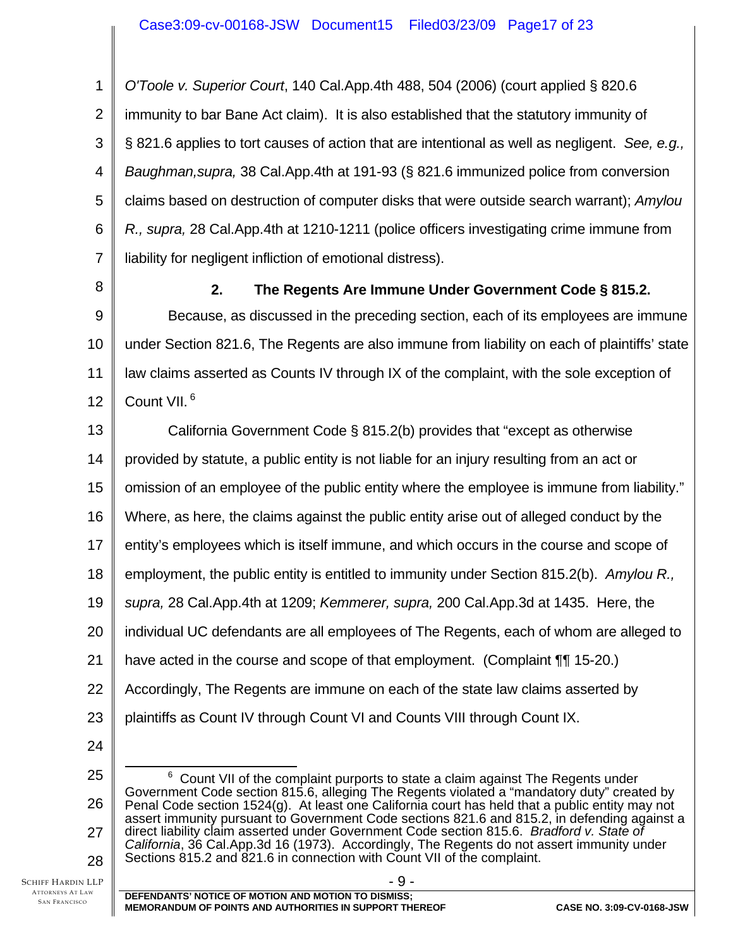1 2 3 4 5 6 7 *O'Toole v. Superior Court*, 140 Cal.App.4th 488, 504 (2006) (court applied § 820.6 immunity to bar Bane Act claim). It is also established that the statutory immunity of § 821.6 applies to tort causes of action that are intentional as well as negligent. *See, e.g., Baughman,supra,* 38 Cal.App.4th at 191-93 (§ 821.6 immunized police from conversion claims based on destruction of computer disks that were outside search warrant); *Amylou R., supra,* 28 Cal.App.4th at 1210-1211 (police officers investigating crime immune from liability for negligent infliction of emotional distress).

8

# **2. The Regents Are Immune Under Government Code § 815.2.**

9 10 11 12 Because, as discussed in the preceding section, each of its employees are immune under Section 821.6, The Regents are also immune from liability on each of plaintiffs' state law claims asserted as Counts IV through IX of the complaint, with the sole exception of Count VII.<sup>6</sup>

13 California Government Code § 815.2(b) provides that "except as otherwise

14 provided by statute, a public entity is not liable for an injury resulting from an act or

15 omission of an employee of the public entity where the employee is immune from liability."

16 Where, as here, the claims against the public entity arise out of alleged conduct by the

17 entity's employees which is itself immune, and which occurs in the course and scope of

18 employment, the public entity is entitled to immunity under Section 815.2(b). *Amylou R.,* 

19 *supra,* 28 Cal.App.4th at 1209; *Kemmerer, supra,* 200 Cal.App.3d at 1435. Here, the

20 individual UC defendants are all employees of The Regents, each of whom are alleged to

21 have acted in the course and scope of that employment. (Complaint ¶¶ 15-20.)

22 Accordingly, The Regents are immune on each of the state law claims asserted by

23 plaintiffs as Count IV through Count VI and Counts VIII through Count IX.

24

<sup>25</sup>  26 27 28  $\overline{6}$  $6$  Count VII of the complaint purports to state a claim against The Regents under Government Code section 815.6, alleging The Regents violated a "mandatory duty" created by Penal Code section 1524(g). At least one California court has held that a public entity may not assert immunity pursuant to Government Code sections 821.6 and 815.2, in defending against a direct liability claim asserted under Government Code section 815.6. *Bradford v. State of California*, 36 Cal.App.3d 16 (1973). Accordingly, The Regents do not assert immunity under Sections 815.2 and 821.6 in connection with Count VII of the complaint.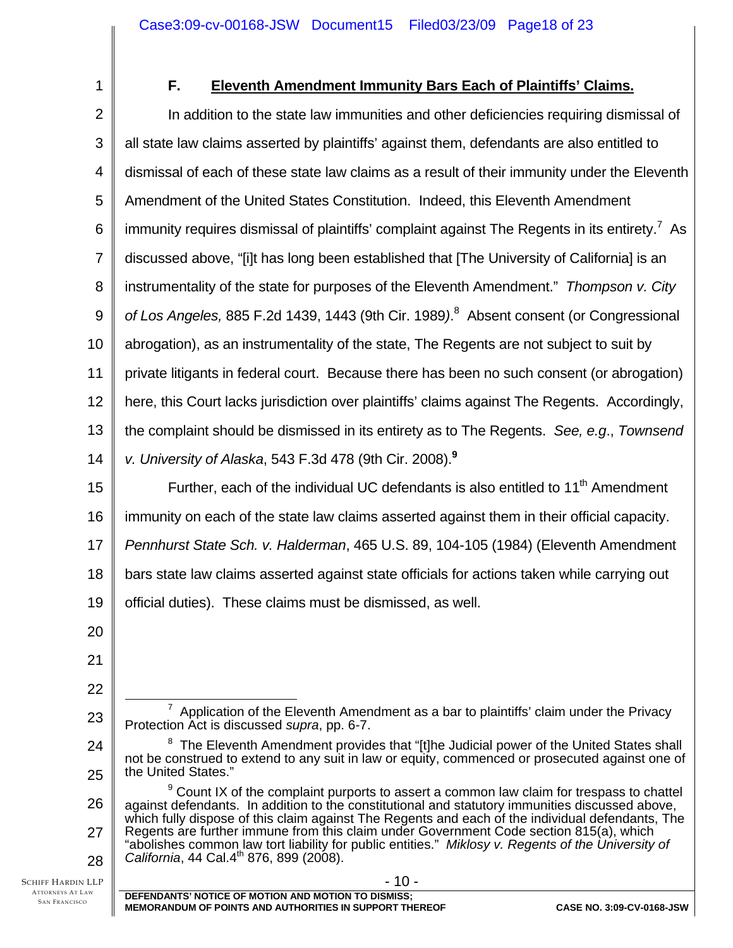1

## **F. Eleventh Amendment Immunity Bars Each of Plaintiffs' Claims.**

2 3 4 5 6 7 8 9 10 11 12 13 14 15 16 In addition to the state law immunities and other deficiencies requiring dismissal of all state law claims asserted by plaintiffs' against them, defendants are also entitled to dismissal of each of these state law claims as a result of their immunity under the Eleventh Amendment of the United States Constitution. Indeed, this Eleventh Amendment immunity requires dismissal of plaintiffs' complaint against The Regents in its entirety.<sup>7</sup> As discussed above, "[i]t has long been established that [The University of California] is an instrumentality of the state for purposes of the Eleventh Amendment." *Thompson v. City of Los Angeles,* 885 F.2d 1439, 1443 (9th Cir. 1989*)*. 8 Absent consent (or Congressional abrogation), as an instrumentality of the state, The Regents are not subject to suit by private litigants in federal court. Because there has been no such consent (or abrogation) here, this Court lacks jurisdiction over plaintiffs' claims against The Regents. Accordingly, the complaint should be dismissed in its entirety as to The Regents. *See, e.g*., *Townsend v. University of Alaska*, 543 F.3d 478 (9th Cir. 2008).**<sup>9</sup>** Further, each of the individual UC defendants is also entitled to  $11<sup>th</sup>$  Amendment immunity on each of the state law claims asserted against them in their official capacity.

17 *Pennhurst State Sch. v. Halderman*, 465 U.S. 89, 104-105 (1984) (Eleventh Amendment

18 bars state law claims asserted against state officials for actions taken while carrying out

19 official duties). These claims must be dismissed, as well.

- 20
- 21 22

23

- $\overline{7}$  $7$  Application of the Eleventh Amendment as a bar to plaintiffs' claim under the Privacy Protection Act is discussed *supra*, pp. 6-7.
- 24 25 <sup>8</sup> The Eleventh Amendment provides that "[t]he Judicial power of the United States shall not be construed to extend to any suit in law or equity, commenced or prosecuted against one of the United States."
- 26 27 28 <sup>9</sup> Count IX of the complaint purports to assert a common law claim for trespass to chattel against defendants. In addition to the constitutional and statutory immunities discussed above, which fully dispose of this claim against The Regents and each of the individual defendants, The Regents are further immune from this claim under Government Code section 815(a), which "abolishes common law tort liability for public entities." *Miklosy v. Regents of the University of California*, 44 Cal.4<sup>th</sup> 876, 899 (2008).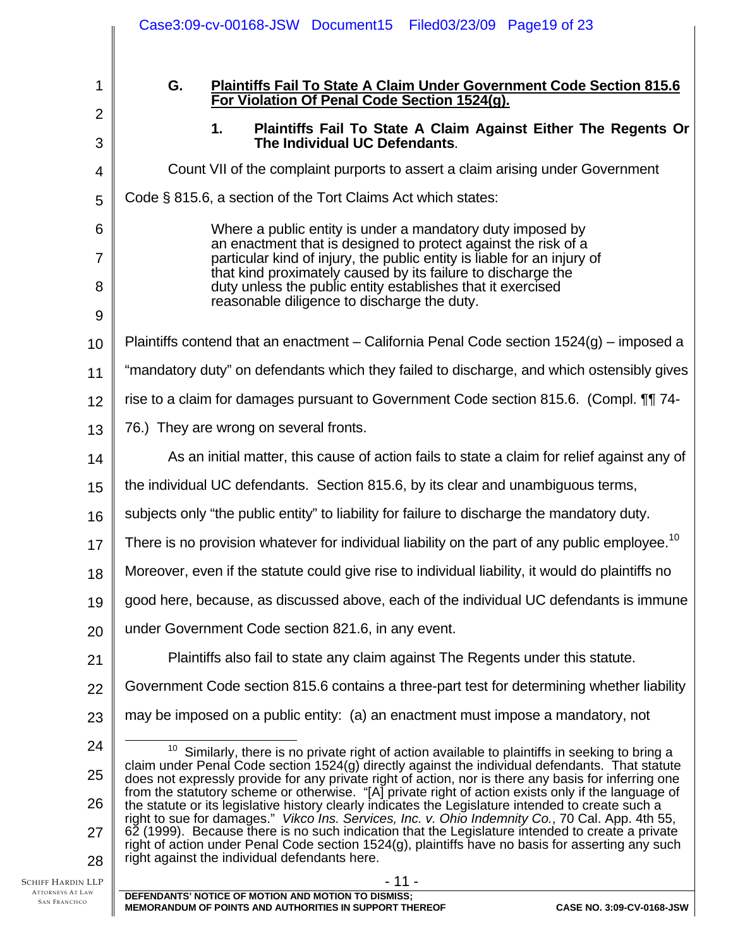|                                              | Case3:09-cv-00168-JSW Document15 Filed03/23/09 Page19 of 23                                                                                                                                               |  |  |  |
|----------------------------------------------|-----------------------------------------------------------------------------------------------------------------------------------------------------------------------------------------------------------|--|--|--|
| 1                                            | G.<br><b>Plaintiffs Fail To State A Claim Under Government Code Section 815.6</b><br>For Violation Of Penal Code Section 1524(g).                                                                         |  |  |  |
| $\overline{2}$                               | Plaintiffs Fail To State A Claim Against Either The Regents Or<br>1.                                                                                                                                      |  |  |  |
| 3                                            | The Individual UC Defendants.                                                                                                                                                                             |  |  |  |
| 4                                            | Count VII of the complaint purports to assert a claim arising under Government                                                                                                                            |  |  |  |
| 5                                            | Code § 815.6, a section of the Tort Claims Act which states:                                                                                                                                              |  |  |  |
| 6                                            | Where a public entity is under a mandatory duty imposed by<br>an enactment that is designed to protect against the risk of a                                                                              |  |  |  |
| 7                                            | particular kind of injury, the public entity is liable for an injury of<br>that kind proximately caused by its failure to discharge the                                                                   |  |  |  |
| 8                                            | duty unless the public entity establishes that it exercised<br>reasonable diligence to discharge the duty.                                                                                                |  |  |  |
| 9                                            |                                                                                                                                                                                                           |  |  |  |
| 10                                           | Plaintiffs contend that an enactment – California Penal Code section 1524(g) – imposed a                                                                                                                  |  |  |  |
| 11                                           | "mandatory duty" on defendants which they failed to discharge, and which ostensibly gives                                                                                                                 |  |  |  |
| 12                                           | rise to a claim for damages pursuant to Government Code section 815.6. (Compl. 11 74-                                                                                                                     |  |  |  |
| 13                                           | 76.) They are wrong on several fronts.                                                                                                                                                                    |  |  |  |
| 14                                           | As an initial matter, this cause of action fails to state a claim for relief against any of                                                                                                               |  |  |  |
| 15                                           | the individual UC defendants. Section 815.6, by its clear and unambiguous terms,                                                                                                                          |  |  |  |
| 16                                           | subjects only "the public entity" to liability for failure to discharge the mandatory duty.                                                                                                               |  |  |  |
| 17                                           | There is no provision whatever for individual liability on the part of any public employee. <sup>10</sup>                                                                                                 |  |  |  |
| 18                                           | Moreover, even if the statute could give rise to individual liability, it would do plaintiffs no                                                                                                          |  |  |  |
| 19                                           | good here, because, as discussed above, each of the individual UC defendants is immune                                                                                                                    |  |  |  |
| 20                                           | under Government Code section 821.6, in any event.                                                                                                                                                        |  |  |  |
| 21                                           | Plaintiffs also fail to state any claim against The Regents under this statute.                                                                                                                           |  |  |  |
| 22                                           | Government Code section 815.6 contains a three-part test for determining whether liability                                                                                                                |  |  |  |
| 23                                           | may be imposed on a public entity: (a) an enactment must impose a mandatory, not                                                                                                                          |  |  |  |
| 24                                           | 10<br>Similarly, there is no private right of action available to plaintiffs in seeking to bring a                                                                                                        |  |  |  |
| 25                                           | claim under Penal Code section 1524(g) directly against the individual defendants. That statute<br>does not expressly provide for any private right of action, nor is there any basis for inferring one   |  |  |  |
| 26                                           | from the statutory scheme or otherwise. "[A] private right of action exists only if the language of<br>the statute or its legislative history clearly indicates the Legislature intended to create such a |  |  |  |
| 27                                           | right to sue for damages." Vikco Ins. Services, Inc. v. Ohio Indemnity Co., 70 Cal. App. 4th 55,<br>62 (1999). Because there is no such indication that the Legislature intended to create a private      |  |  |  |
| 28                                           | right of action under Penal Code section 1524(g), plaintiffs have no basis for asserting any such<br>right against the individual defendants here.                                                        |  |  |  |
| Schiff Hardin LLP<br><b>ATTORNEYS AT LAW</b> | $-11-$                                                                                                                                                                                                    |  |  |  |
| <b>SAN FRANCISCO</b>                         | DEFENDANTS' NOTICE OF MOTION AND MOTION TO DISMISS;<br>CASE NO. 3:09-CV-0168-JSW<br>MEMORANDUM OF POINTS AND AUTHORITIES IN SUPPORT THEREOF                                                               |  |  |  |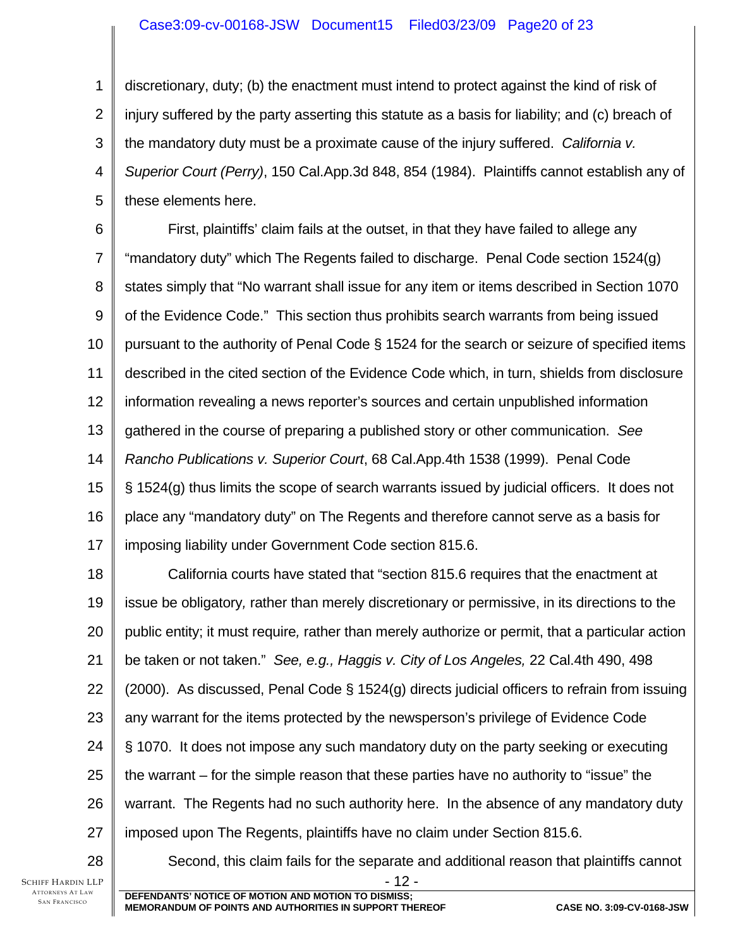## Case3:09-cv-00168-JSW Document15 Filed03/23/09 Page20 of 23

1 2 3 4 5 discretionary, duty; (b) the enactment must intend to protect against the kind of risk of injury suffered by the party asserting this statute as a basis for liability; and (c) breach of the mandatory duty must be a proximate cause of the injury suffered. *California v. Superior Court (Perry)*, 150 Cal.App.3d 848, 854 (1984). Plaintiffs cannot establish any of these elements here.

6 7 8 9 10 11 12 13 14 15 16 17 First, plaintiffs' claim fails at the outset, in that they have failed to allege any "mandatory duty" which The Regents failed to discharge. Penal Code section 1524(g) states simply that "No warrant shall issue for any item or items described in Section 1070 of the Evidence Code." This section thus prohibits search warrants from being issued pursuant to the authority of Penal Code § 1524 for the search or seizure of specified items described in the cited section of the Evidence Code which, in turn, shields from disclosure information revealing a news reporter's sources and certain unpublished information gathered in the course of preparing a published story or other communication. *See Rancho Publications v. Superior Court*, 68 Cal.App.4th 1538 (1999). Penal Code § 1524(g) thus limits the scope of search warrants issued by judicial officers. It does not place any "mandatory duty" on The Regents and therefore cannot serve as a basis for imposing liability under Government Code section 815.6.

18 19 20 21 22 23 24 25 26 27 California courts have stated that "section 815.6 requires that the enactment at issue be obligatory*,* rather than merely discretionary or permissive, in its directions to the public entity; it must require*,* rather than merely authorize or permit, that a particular action be taken or not taken." *See, e.g., Haggis v. City of Los Angeles,* 22 Cal.4th 490, 498 (2000). As discussed, Penal Code § 1524(g) directs judicial officers to refrain from issuing any warrant for the items protected by the newsperson's privilege of Evidence Code § 1070. It does not impose any such mandatory duty on the party seeking or executing the warrant – for the simple reason that these parties have no authority to "issue" the warrant. The Regents had no such authority here. In the absence of any mandatory duty imposed upon The Regents, plaintiffs have no claim under Section 815.6.

28

SCHIFF HARDIN LLP ATTORNEYS AT LAW SAN FRANCISCO

Second, this claim fails for the separate and additional reason that plaintiffs cannot

- 12 -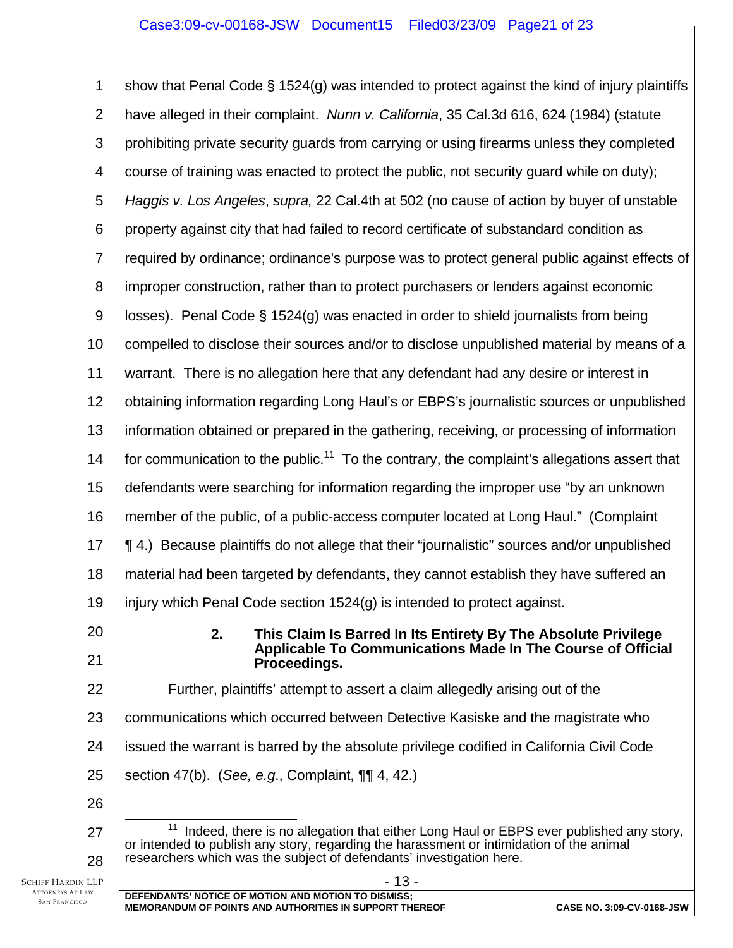#### Case3:09-cv-00168-JSW Document15 Filed03/23/09 Page21 of 23

SCHIFF HARDIN LLP 1 2 3 4 5 6 7 8 9 10 11 12 13 14 15 16 17 18 19 20 21 22 23 24 25 26 27 28 - 13 - **DEFENDANTS' NOTICE OF MOTION AND MOTION TO DISMISS;**  show that Penal Code § 1524(g) was intended to protect against the kind of injury plaintiffs have alleged in their complaint. *Nunn v. California*, 35 Cal.3d 616, 624 (1984) (statute prohibiting private security guards from carrying or using firearms unless they completed course of training was enacted to protect the public, not security guard while on duty); *Haggis v. Los Angeles*, *supra,* 22 Cal.4th at 502 (no cause of action by buyer of unstable property against city that had failed to record certificate of substandard condition as required by ordinance; ordinance's purpose was to protect general public against effects of improper construction, rather than to protect purchasers or lenders against economic losses). Penal Code § 1524(g) was enacted in order to shield journalists from being compelled to disclose their sources and/or to disclose unpublished material by means of a warrant. There is no allegation here that any defendant had any desire or interest in obtaining information regarding Long Haul's or EBPS's journalistic sources or unpublished information obtained or prepared in the gathering, receiving, or processing of information for communication to the public.<sup>11</sup> To the contrary, the complaint's allegations assert that defendants were searching for information regarding the improper use "by an unknown member of the public, of a public-access computer located at Long Haul." (Complaint ¶ 4.) Because plaintiffs do not allege that their "journalistic" sources and/or unpublished material had been targeted by defendants, they cannot establish they have suffered an injury which Penal Code section 1524(g) is intended to protect against. **2. This Claim Is Barred In Its Entirety By The Absolute Privilege Applicable To Communications Made In The Course of Official Proceedings.**  Further, plaintiffs' attempt to assert a claim allegedly arising out of the communications which occurred between Detective Kasiske and the magistrate who issued the warrant is barred by the absolute privilege codified in California Civil Code section 47(b). (*See, e.g*., Complaint, ¶¶ 4, 42.)  $11$  Indeed, there is no allegation that either Long Haul or EBPS ever published any story, or intended to publish any story, regarding the harassment or intimidation of the animal researchers which was the subject of defendants' investigation here.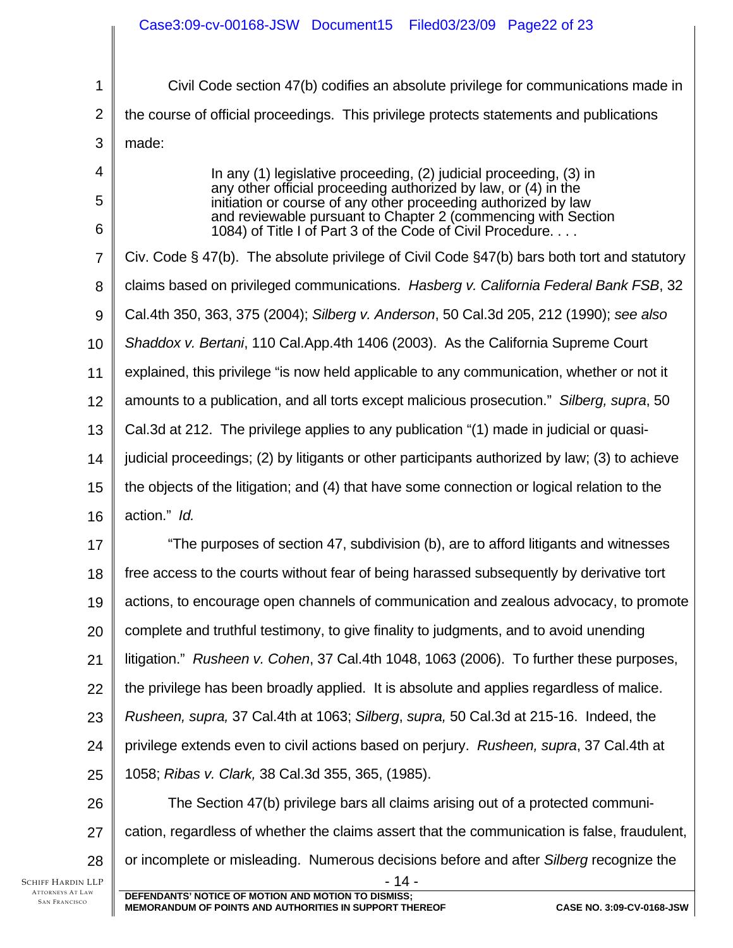|                                                                             | Case3:09-cv-00168-JSW Document15 Filed03/23/09 Page22 of 23                                                                      |  |  |  |
|-----------------------------------------------------------------------------|----------------------------------------------------------------------------------------------------------------------------------|--|--|--|
|                                                                             |                                                                                                                                  |  |  |  |
| 1                                                                           | Civil Code section 47(b) codifies an absolute privilege for communications made in                                               |  |  |  |
| $\overline{2}$                                                              | the course of official proceedings. This privilege protects statements and publications                                          |  |  |  |
| 3                                                                           | made:                                                                                                                            |  |  |  |
| 4                                                                           | In any (1) legislative proceeding, (2) judicial proceeding, (3) in                                                               |  |  |  |
| 5                                                                           | any other official proceeding authorized by law, or (4) in the<br>initiation or course of any other proceeding authorized by law |  |  |  |
| 6                                                                           | and reviewable pursuant to Chapter 2 (commencing with Section<br>1084) of Title I of Part 3 of the Code of Civil Procedure.      |  |  |  |
| $\overline{7}$                                                              | Civ. Code § 47(b). The absolute privilege of Civil Code §47(b) bars both tort and statutory                                      |  |  |  |
| 8                                                                           | claims based on privileged communications. Hasberg v. California Federal Bank FSB, 32                                            |  |  |  |
| 9                                                                           | Cal.4th 350, 363, 375 (2004); Silberg v. Anderson, 50 Cal.3d 205, 212 (1990); see also                                           |  |  |  |
| 10                                                                          | Shaddox v. Bertani, 110 Cal.App.4th 1406 (2003). As the California Supreme Court                                                 |  |  |  |
| 11                                                                          | explained, this privilege "is now held applicable to any communication, whether or not it                                        |  |  |  |
| 12                                                                          | amounts to a publication, and all torts except malicious prosecution." Silberg, supra, 50                                        |  |  |  |
| 13                                                                          | Cal.3d at 212. The privilege applies to any publication "(1) made in judicial or quasi-                                          |  |  |  |
| 14                                                                          | judicial proceedings; (2) by litigants or other participants authorized by law; (3) to achieve                                   |  |  |  |
| 15                                                                          | the objects of the litigation; and (4) that have some connection or logical relation to the                                      |  |  |  |
| 16                                                                          | action." Id.                                                                                                                     |  |  |  |
| 17                                                                          | "The purposes of section 47, subdivision (b), are to afford litigants and witnesses                                              |  |  |  |
| 18                                                                          | free access to the courts without fear of being harassed subsequently by derivative tort                                         |  |  |  |
| 19                                                                          | actions, to encourage open channels of communication and zealous advocacy, to promote                                            |  |  |  |
| 20                                                                          | complete and truthful testimony, to give finality to judgments, and to avoid unending                                            |  |  |  |
| 21                                                                          | litigation." Rusheen v. Cohen, 37 Cal.4th 1048, 1063 (2006). To further these purposes,                                          |  |  |  |
| 22                                                                          | the privilege has been broadly applied. It is absolute and applies regardless of malice.                                         |  |  |  |
| 23                                                                          | Rusheen, supra, 37 Cal.4th at 1063; Silberg, supra, 50 Cal.3d at 215-16. Indeed, the                                             |  |  |  |
| 24                                                                          | privilege extends even to civil actions based on perjury. Rusheen, supra, 37 Cal.4th at                                          |  |  |  |
| 25                                                                          | 1058; Ribas v. Clark, 38 Cal.3d 355, 365, (1985).                                                                                |  |  |  |
| 26                                                                          | The Section 47(b) privilege bars all claims arising out of a protected communi-                                                  |  |  |  |
| 27                                                                          | cation, regardless of whether the claims assert that the communication is false, fraudulent,                                     |  |  |  |
| 28                                                                          | or incomplete or misleading. Numerous decisions before and after Silberg recognize the                                           |  |  |  |
| <b>SCHIFF HARDIN LLP</b><br><b>ATTORNEYS AT LAW</b><br><b>SAN FRANCISCO</b> | - 14 -<br>DEFENDANTS' NOTICE OF MOTION AND MOTION TO DISMISS;                                                                    |  |  |  |
|                                                                             | MEMORANDUM OF POINTS AND AUTHORITIES IN SUPPORT THEREOF<br>CASE NO. 3:09-CV-0168-JSW                                             |  |  |  |